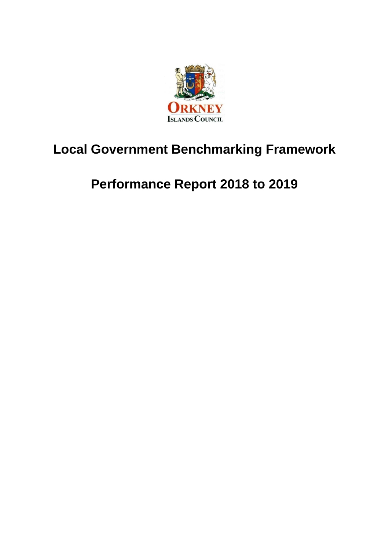

# **Local Government Benchmarking Framework**

# **Performance Report 2018 to 2019**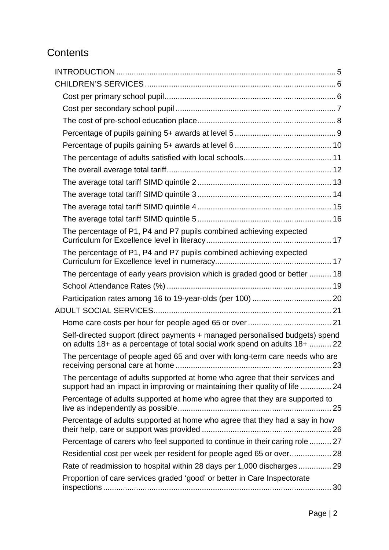## **Contents**

| The percentage of P1, P4 and P7 pupils combined achieving expected                                                                                          |  |
|-------------------------------------------------------------------------------------------------------------------------------------------------------------|--|
| The percentage of P1, P4 and P7 pupils combined achieving expected                                                                                          |  |
| The percentage of early years provision which is graded good or better  18                                                                                  |  |
|                                                                                                                                                             |  |
|                                                                                                                                                             |  |
|                                                                                                                                                             |  |
|                                                                                                                                                             |  |
| Self-directed support (direct payments + managed personalised budgets) spend<br>on adults 18+ as a percentage of total social work spend on adults 18+  22  |  |
| The percentage of people aged 65 and over with long-term care needs who are                                                                                 |  |
| The percentage of adults supported at home who agree that their services and<br>support had an impact in improving or maintaining their quality of life  24 |  |
| Percentage of adults supported at home who agree that they are supported to                                                                                 |  |
| Percentage of adults supported at home who agree that they had a say in how                                                                                 |  |
| Percentage of carers who feel supported to continue in their caring role  27                                                                                |  |
|                                                                                                                                                             |  |
| Rate of readmission to hospital within 28 days per 1,000 discharges 29                                                                                      |  |
| Proportion of care services graded 'good' or better in Care Inspectorate                                                                                    |  |
|                                                                                                                                                             |  |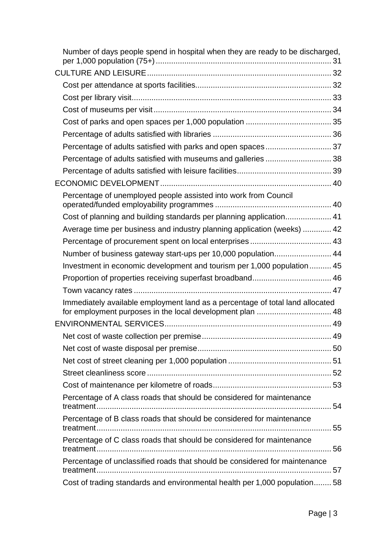| Number of days people spend in hospital when they are ready to be discharged, |    |
|-------------------------------------------------------------------------------|----|
|                                                                               |    |
|                                                                               |    |
|                                                                               |    |
|                                                                               |    |
|                                                                               |    |
|                                                                               |    |
| Percentage of adults satisfied with parks and open spaces 37                  |    |
| Percentage of adults satisfied with museums and galleries  38                 |    |
|                                                                               |    |
|                                                                               |    |
| Percentage of unemployed people assisted into work from Council               |    |
| Cost of planning and building standards per planning application 41           |    |
| Average time per business and industry planning application (weeks)  42       |    |
|                                                                               |    |
| Number of business gateway start-ups per 10,000 population 44                 |    |
| Investment in economic development and tourism per 1,000 population  45       |    |
|                                                                               |    |
|                                                                               |    |
| Immediately available employment land as a percentage of total land allocated |    |
|                                                                               |    |
|                                                                               | 49 |
|                                                                               |    |
|                                                                               |    |
|                                                                               |    |
|                                                                               |    |
| Percentage of A class roads that should be considered for maintenance         |    |
| Percentage of B class roads that should be considered for maintenance         |    |
| Percentage of C class roads that should be considered for maintenance         |    |
| Percentage of unclassified roads that should be considered for maintenance    |    |
| Cost of trading standards and environmental health per 1,000 population 58    |    |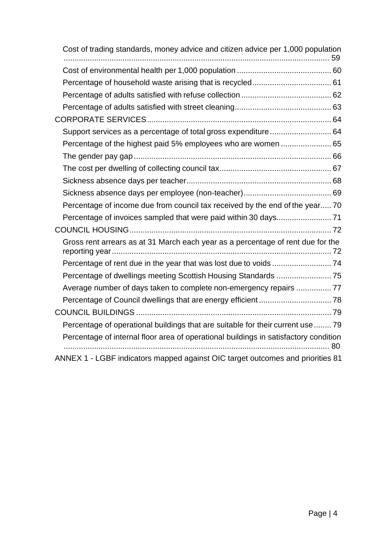| Cost of trading standards, money advice and citizen advice per 1,000 population      |  |
|--------------------------------------------------------------------------------------|--|
|                                                                                      |  |
|                                                                                      |  |
|                                                                                      |  |
|                                                                                      |  |
|                                                                                      |  |
| Support services as a percentage of total gross expenditure 64                       |  |
|                                                                                      |  |
|                                                                                      |  |
|                                                                                      |  |
|                                                                                      |  |
|                                                                                      |  |
| Percentage of income due from council tax received by the end of the year 70         |  |
|                                                                                      |  |
|                                                                                      |  |
| Gross rent arrears as at 31 March each year as a percentage of rent due for the      |  |
|                                                                                      |  |
|                                                                                      |  |
| Average number of days taken to complete non-emergency repairs  77                   |  |
|                                                                                      |  |
|                                                                                      |  |
| Percentage of operational buildings that are suitable for their current use  79      |  |
| Percentage of internal floor area of operational buildings in satisfactory condition |  |
| ANNEX 1 - LGBF indicators mapped against OIC target outcomes and priorities 81       |  |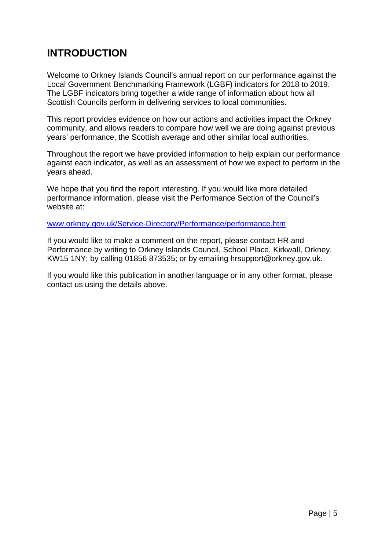## **INTRODUCTION**

<span id="page-4-0"></span>Welcome to Orkney Islands Council's annual report on our performance against the Local Government Benchmarking Framework (LGBF) indicators for 2018 to 2019. The LGBF indicators bring together a wide range of information about how all Scottish Councils perform in delivering services to local communities.

This report provides evidence on how our actions and activities impact the Orkney community, and allows readers to compare how well we are doing against previous years' performance, the Scottish average and other similar local authorities.

Throughout the report we have provided information to help explain our performance against each indicator, as well as an assessment of how we expect to perform in the years ahead.

We hope that you find the report interesting. If you would like more detailed performance information, please visit the Performance Section of the Council's website at:

[www.orkney.gov.uk/Service-Directory/Performance/performance.htm](http://www.orkney.gov.uk/Service-Directory/Performance/performance.htm)

If you would like to make a comment on the report, please contact HR and Performance by writing to Orkney Islands Council, School Place, Kirkwall, Orkney, KW15 1NY; by calling 01856 873535; or by emailing [hrsupport@orkney.gov.uk.](mailto:hrsupport@orkney.gov.uk)

If you would like this publication in another language or in any other format, please contact us using the details above.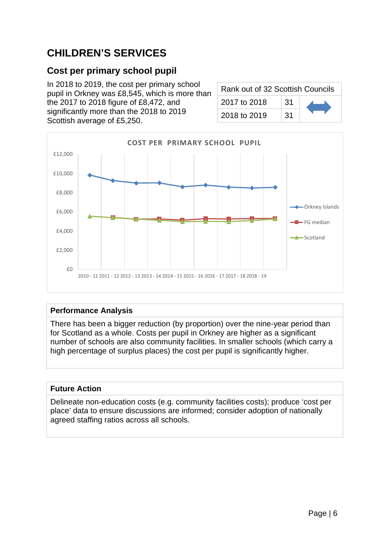## **CHILDREN'S SERVICES**

## <span id="page-5-0"></span>**Cost per primary school pupil**

In 2018 to 2019, the cost per primary school pupil in Orkney was £8,545, which is more than the 2017 to 2018 figure of £8,472, and significantly more than the 2018 to 2019 Scottish average of £5,250.

| Rank out of 32 Scottish Councils |     |  |
|----------------------------------|-----|--|
| 2017 to 2018                     | .31 |  |
| 2018 to 2019                     | :31 |  |



#### **Performance Analysis**

There has been a bigger reduction (by proportion) over the nine-year period than for Scotland as a whole. Costs per pupil in Orkney are higher as a significant number of schools are also community facilities. In smaller schools (which carry a high percentage of surplus places) the cost per pupil is significantly higher.

#### **Future Action**

Delineate non-education costs (e.g. community facilities costs); produce 'cost per place' data to ensure discussions are informed; consider adoption of nationally agreed staffing ratios across all schools.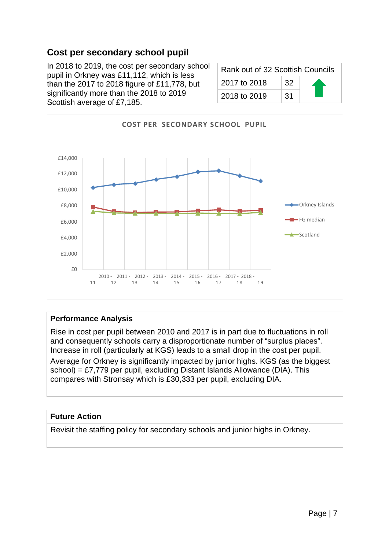## **Cost per secondary school pupil**

<span id="page-6-0"></span>In 2018 to 2019, the cost per secondary school pupil in Orkney was £11,112, which is less than the 2017 to 2018 figure of £11,778, but significantly more than the 2018 to 2019 Scottish average of £7,185.

| Rank out of 32 Scottish Councils |    |  |
|----------------------------------|----|--|
| 2017 to 2018                     | 32 |  |
| 2018 to 2019                     | 31 |  |



#### **Performance Analysis**

Rise in cost per pupil between 2010 and 2017 is in part due to fluctuations in roll and consequently schools carry a disproportionate number of "surplus places". Increase in roll (particularly at KGS) leads to a small drop in the cost per pupil.

Average for Orkney is significantly impacted by junior highs. KGS (as the biggest school) = £7,779 per pupil, excluding Distant Islands Allowance (DIA). This compares with Stronsay which is £30,333 per pupil, excluding DIA.

#### **Future Action**

Revisit the staffing policy for secondary schools and junior highs in Orkney.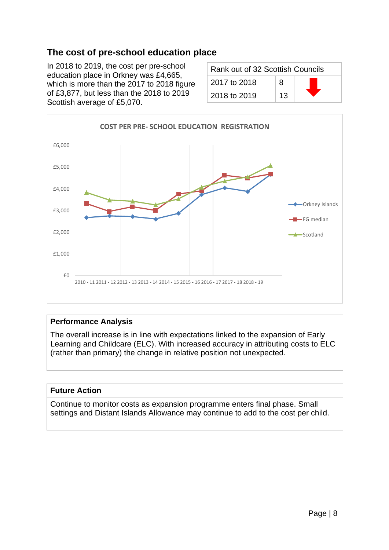## **The cost of pre-school education place**

<span id="page-7-0"></span>In 2018 to 2019, the cost per pre-school education place in Orkney was £4,665, which is more than the 2017 to 2018 figure of £3,877, but less than the 2018 to 2019 Scottish average of £5,070.

| Rank out of 32 Scottish Councils |    |  |
|----------------------------------|----|--|
| 2017 to 2018                     | я  |  |
| 2018 to 2019                     | 13 |  |



#### **Performance Analysis**

The overall increase is in line with expectations linked to the expansion of Early Learning and Childcare (ELC). With increased accuracy in attributing costs to ELC (rather than primary) the change in relative position not unexpected.

#### **Future Action**

Continue to monitor costs as expansion programme enters final phase. Small settings and Distant Islands Allowance may continue to add to the cost per child.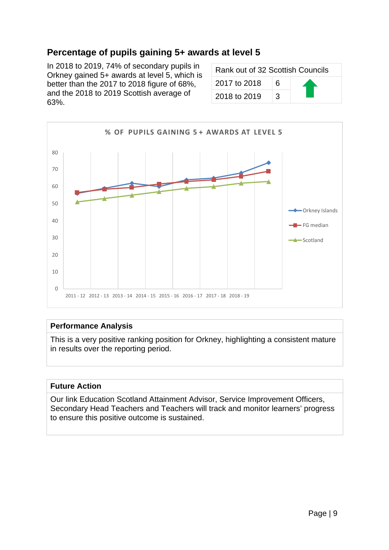## **Percentage of pupils gaining 5+ awards at level 5**

<span id="page-8-0"></span>In 2018 to 2019, 74% of secondary pupils in Orkney gained 5+ awards at level 5, which is better than the 2017 to 2018 figure of 68%, and the 2018 to 2019 Scottish average of 63%.

| Rank out of 32 Scottish Councils |   |  |
|----------------------------------|---|--|
| 2017 to 2018                     | 6 |  |
| 2018 to 2019                     | વ |  |



#### **Performance Analysis**

This is a very positive ranking position for Orkney, highlighting a consistent mature in results over the reporting period.

#### **Future Action**

Our link Education Scotland Attainment Advisor, Service Improvement Officers, Secondary Head Teachers and Teachers will track and monitor learners' progress to ensure this positive outcome is sustained.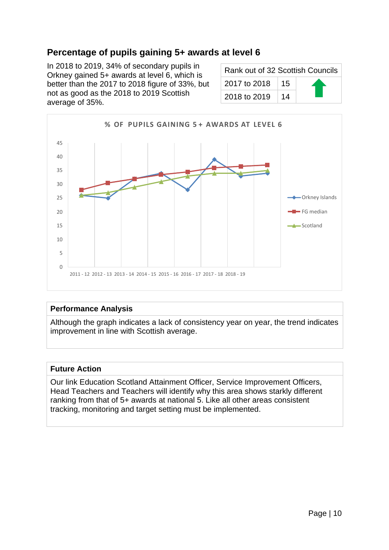## **Percentage of pupils gaining 5+ awards at level 6**

<span id="page-9-0"></span>In 2018 to 2019, 34% of secondary pupils in Orkney gained 5+ awards at level 6, which is better than the 2017 to 2018 figure of 33%, but not as good as the 2018 to 2019 Scottish average of 35%.

| Rank out of 32 Scottish Councils |    |  |
|----------------------------------|----|--|
| 2017 to 2018                     | 15 |  |
| 2018 to 2019                     | 14 |  |



#### **Performance Analysis**

Although the graph indicates a lack of consistency year on year, the trend indicates improvement in line with Scottish average.

#### **Future Action**

Our link Education Scotland Attainment Officer, Service Improvement Officers, Head Teachers and Teachers will identify why this area shows starkly different ranking from that of 5+ awards at national 5. Like all other areas consistent tracking, monitoring and target setting must be implemented.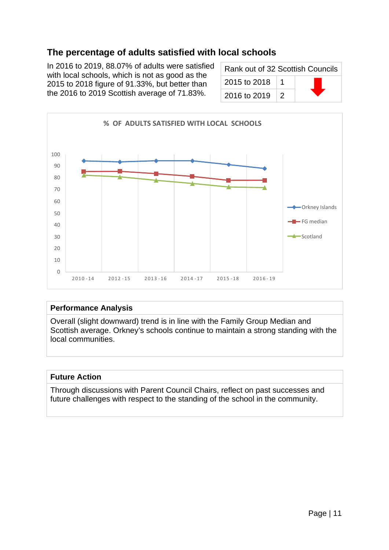## **The percentage of adults satisfied with local schools**

<span id="page-10-0"></span>In 2016 to 2019, 88.07% of adults were satisfied with local schools, which is not as good as the 2015 to 2018 figure of 91.33%, but better than the 2016 to 2019 Scottish average of 71.83%.

| Rank out of 32 Scottish Councils |  |  |
|----------------------------------|--|--|
| 2015 to 2018                     |  |  |
| 2016 to 2019                     |  |  |



#### **Performance Analysis**

Overall (slight downward) trend is in line with the Family Group Median and Scottish average. Orkney's schools continue to maintain a strong standing with the local communities.

#### **Future Action**

Through discussions with Parent Council Chairs, reflect on past successes and future challenges with respect to the standing of the school in the community.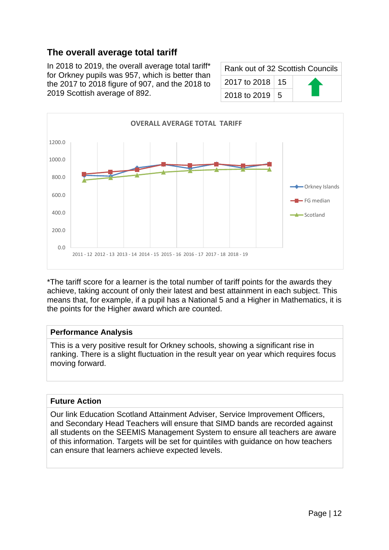## **The overall average total tariff**

<span id="page-11-0"></span>In 2018 to 2019, the overall average total tariff\* for Orkney pupils was 957, which is better than the 2017 to 2018 figure of 907, and the 2018 to 2019 Scottish average of 892.

| Rank out of 32 Scottish Councils |  |  |
|----------------------------------|--|--|
| 2017 to 2018   15                |  |  |
| 2018 to 2019   5                 |  |  |



\*The tariff score for a learner is the total number of tariff points for the awards they achieve, taking account of only their latest and best attainment in each subject. This means that, for example, if a pupil has a National 5 and a Higher in Mathematics, it is the points for the Higher award which are counted.

#### **Performance Analysis**

This is a very positive result for Orkney schools, showing a significant rise in ranking. There is a slight fluctuation in the result year on year which requires focus moving forward.

#### **Future Action**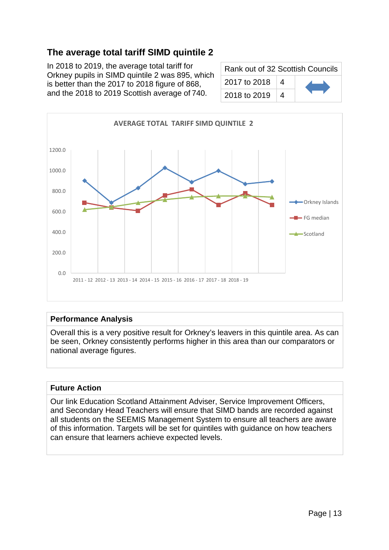<span id="page-12-0"></span>In 2018 to 2019, the average total tariff for Orkney pupils in SIMD quintile 2 was 895, which is better than the 2017 to 2018 figure of 868, and the 2018 to 2019 Scottish average of 740.

| Rank out of 32 Scottish Councils |   |  |  |
|----------------------------------|---|--|--|
| 2017 to 2018                     | 4 |  |  |
| 2018 to 2019                     | 4 |  |  |



#### **Performance Analysis**

Overall this is a very positive result for Orkney's leavers in this quintile area. As can be seen, Orkney consistently performs higher in this area than our comparators or national average figures.

#### **Future Action**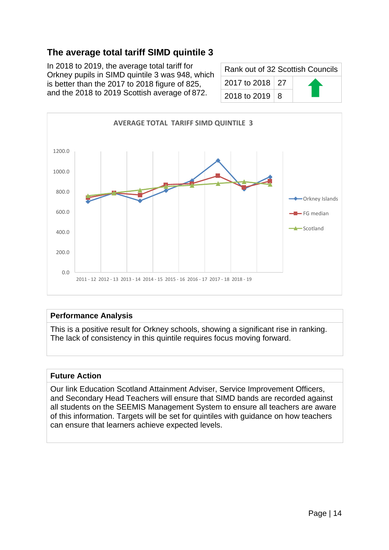<span id="page-13-0"></span>In 2018 to 2019, the average total tariff for Orkney pupils in SIMD quintile 3 was 948, which is better than the 2017 to 2018 figure of 825, and the 2018 to 2019 Scottish average of 872.

| Rank out of 32 Scottish Councils |  |  |
|----------------------------------|--|--|
| 2017 to 2018 27                  |  |  |
| 2018 to 2019   8                 |  |  |



#### **Performance Analysis**

This is a positive result for Orkney schools, showing a significant rise in ranking. The lack of consistency in this quintile requires focus moving forward.

#### **Future Action**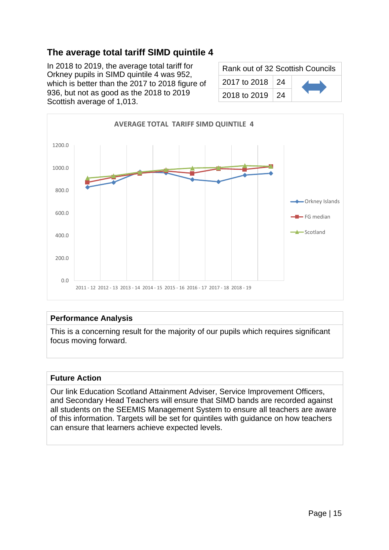<span id="page-14-0"></span>In 2018 to 2019, the average total tariff for Orkney pupils in SIMD quintile 4 was 952, which is better than the 2017 to 2018 figure of 936, but not as good as the 2018 to 2019 Scottish average of 1,013.

| Rank out of 32 Scottish Councils |            |  |
|----------------------------------|------------|--|
| 2017 to 2018 24                  |            |  |
| 2018 to 2019                     | $\vert 24$ |  |



#### **Performance Analysis**

This is a concerning result for the majority of our pupils which requires significant focus moving forward.

#### **Future Action**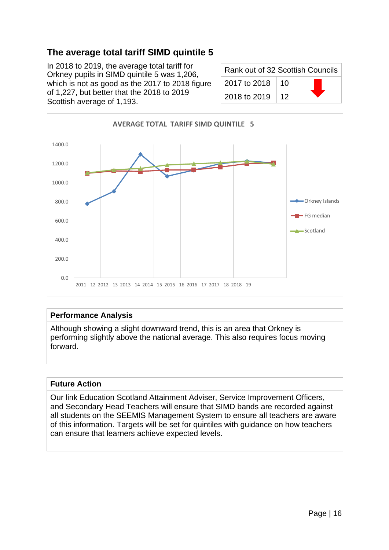<span id="page-15-0"></span>In 2018 to 2019, the average total tariff for Orkney pupils in SIMD quintile 5 was 1,206, which is not as good as the 2017 to 2018 figure of 1,227, but better that the 2018 to 2019 Scottish average of 1,193.

| Rank out of 32 Scottish Councils |    |  |
|----------------------------------|----|--|
| 2017 to 2018                     | 10 |  |
| 2018 to 2019                     | 12 |  |



#### **Performance Analysis**

Although showing a slight downward trend, this is an area that Orkney is performing slightly above the national average. This also requires focus moving forward.

#### **Future Action**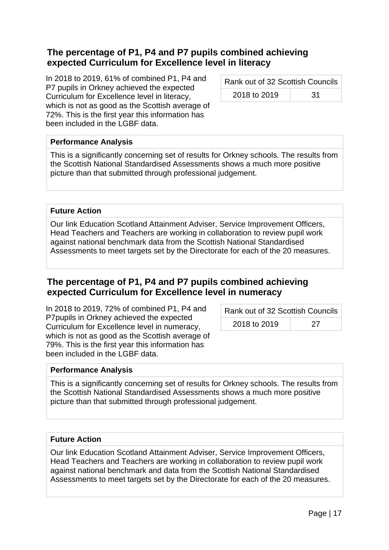## <span id="page-16-0"></span>**The percentage of P1, P4 and P7 pupils combined achieving expected Curriculum for Excellence level in literacy**

In 2018 to 2019, 61% of combined P1, P4 and P7 pupils in Orkney achieved the expected Curriculum for Excellence level in literacy, which is not as good as the Scottish average of 72%. This is the first year this information has been included in the LGBF data.

Rank out of 32 Scottish Councils 2018 to 2019 2018

#### **Performance Analysis**

This is a significantly concerning set of results for Orkney schools. The results from the Scottish National Standardised Assessments shows a much more positive picture than that submitted through professional judgement.

#### **Future Action**

Our link Education Scotland Attainment Adviser, Service Improvement Officers, Head Teachers and Teachers are working in collaboration to review pupil work against national benchmark data from the Scottish National Standardised Assessments to meet targets set by the Directorate for each of the 20 measures.

### <span id="page-16-1"></span>**The percentage of P1, P4 and P7 pupils combined achieving expected Curriculum for Excellence level in numeracy**

In 2018 to 2019, 72% of combined P1, P4 and P7pupils in Orkney achieved the expected Curriculum for Excellence level in numeracy, which is not as good as the Scottish average of 79%. This is the first year this information has been included in the LGBF data.

| Rank out of 32 Scottish Councils |    |
|----------------------------------|----|
| 2018 to 2019                     | 27 |

#### **Performance Analysis**

This is a significantly concerning set of results for Orkney schools. The results from the Scottish National Standardised Assessments shows a much more positive picture than that submitted through professional judgement.

#### **Future Action**

Our link Education Scotland Attainment Adviser, Service Improvement Officers, Head Teachers and Teachers are working in collaboration to review pupil work against national benchmark and data from the Scottish National Standardised Assessments to meet targets set by the Directorate for each of the 20 measures.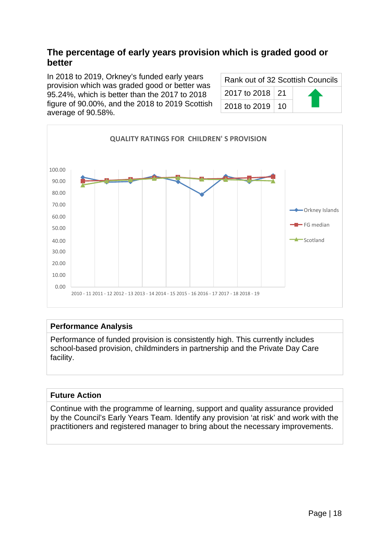## <span id="page-17-0"></span>**The percentage of early years provision which is graded good or better**

In 2018 to 2019, Orkney's funded early years provision which was graded good or better was 95.24%, which is better than the 2017 to 2018 figure of 90.00%, and the 2018 to 2019 Scottish average of 90.58%.

| Rank out of 32 Scottish Councils |  |  |
|----------------------------------|--|--|
| 2017 to 2018 21                  |  |  |
| 2018 to 2019   10                |  |  |



#### **Performance Analysis**

Performance of funded provision is consistently high. This currently includes school-based provision, childminders in partnership and the Private Day Care facility.

#### **Future Action**

Continue with the programme of learning, support and quality assurance provided by the Council's Early Years Team. Identify any provision 'at risk' and work with the practitioners and registered manager to bring about the necessary improvements.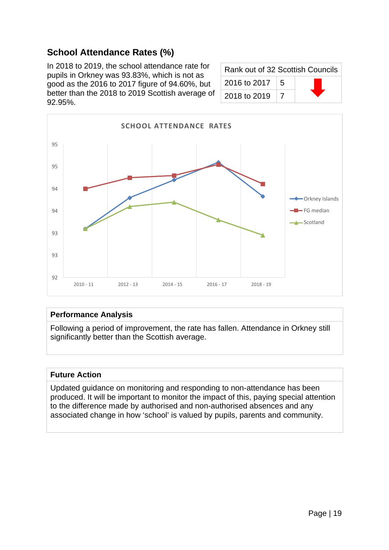## **School Attendance Rates (%)**

<span id="page-18-0"></span>In 2018 to 2019, the school attendance rate for pupils in Orkney was 93.83%, which is not as good as the 2016 to 2017 figure of 94.60%, but better than the 2018 to 2019 Scottish average of 92.95%.

| Rank out of 32 Scottish Councils |   |  |
|----------------------------------|---|--|
| 2016 to 2017                     | 5 |  |
| 2018 to 2019                     |   |  |



#### **Performance Analysis**

Following a period of improvement, the rate has fallen. Attendance in Orkney still significantly better than the Scottish average.

#### **Future Action**

Updated guidance on monitoring and responding to non-attendance has been produced. It will be important to monitor the impact of this, paying special attention to the difference made by authorised and non-authorised absences and any associated change in how 'school' is valued by pupils, parents and community.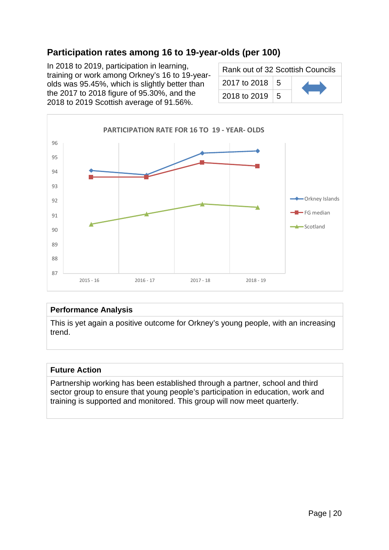## **Participation rates among 16 to 19-year-olds (per 100)**

<span id="page-19-0"></span>In 2018 to 2019, participation in learning, training or work among Orkney's 16 to 19-yearolds was 95.45%, which is slightly better than the 2017 to 2018 figure of 95.30%, and the 2018 to 2019 Scottish average of 91.56%.

| Rank out of 32 Scottish Councils |  |  |
|----------------------------------|--|--|
| 2017 to 2018 $\vert$ 5           |  |  |
| 2018 to 2019   5                 |  |  |



#### **Performance Analysis**

This is yet again a positive outcome for Orkney's young people, with an increasing trend.

#### **Future Action**

Partnership working has been established through a partner, school and third sector group to ensure that young people's participation in education, work and training is supported and monitored. This group will now meet quarterly.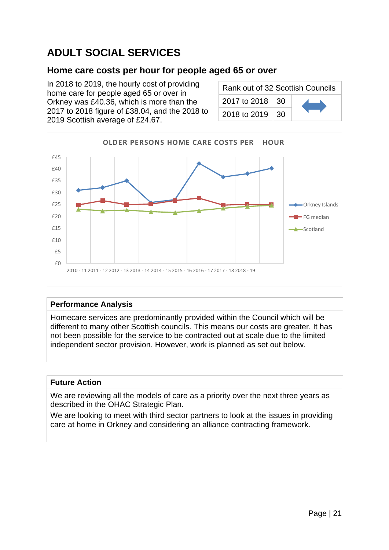## <span id="page-20-0"></span>**ADULT SOCIAL SERVICES**

## <span id="page-20-1"></span>**Home care costs per hour for people aged 65 or over**

In 2018 to 2019, the hourly cost of providing home care for people aged 65 or over in Orkney was £40.36, which is more than the 2017 to 2018 figure of £38.04, and the 2018 to 2019 Scottish average of £24.67.

| Rank out of 32 Scottish Councils |  |  |
|----------------------------------|--|--|
| 2017 to 2018   30                |  |  |
| 2018 to 2019   30                |  |  |



#### **Performance Analysis**

Homecare services are predominantly provided within the Council which will be different to many other Scottish councils. This means our costs are greater. It has not been possible for the service to be contracted out at scale due to the limited independent sector provision. However, work is planned as set out below.

#### **Future Action**

We are reviewing all the models of care as a priority over the next three years as described in the OHAC Strategic Plan.

We are looking to meet with third sector partners to look at the issues in providing care at home in Orkney and considering an alliance contracting framework.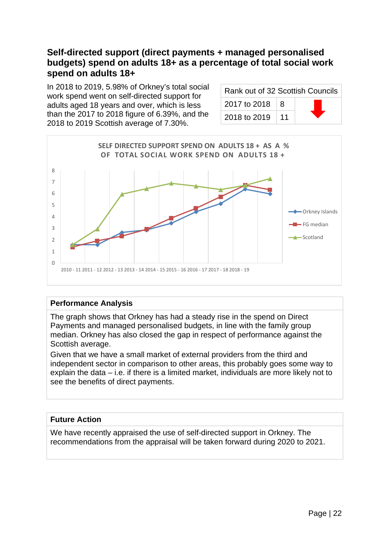## <span id="page-21-0"></span>**Self-directed support (direct payments + managed personalised budgets) spend on adults 18+ as a percentage of total social work spend on adults 18+**

In 2018 to 2019, 5.98% of Orkney's total social work spend went on self-directed support for adults aged 18 years and over, which is less than the 2017 to 2018 figure of 6.39%, and the 2018 to 2019 Scottish average of 7.30%.

| Rank out of 32 Scottish Councils |    |  |
|----------------------------------|----|--|
| 2017 to 2018                     | -8 |  |
| 2018 to 2019                     | 11 |  |



#### **Performance Analysis**

The graph shows that Orkney has had a steady rise in the spend on Direct Payments and managed personalised budgets, in line with the family group median. Orkney has also closed the gap in respect of performance against the Scottish average.

Given that we have a small market of external providers from the third and independent sector in comparison to other areas, this probably goes some way to explain the data – i.e. if there is a limited market, individuals are more likely not to see the benefits of direct payments.

#### **Future Action**

We have recently appraised the use of self-directed support in Orkney. The recommendations from the appraisal will be taken forward during 2020 to 2021.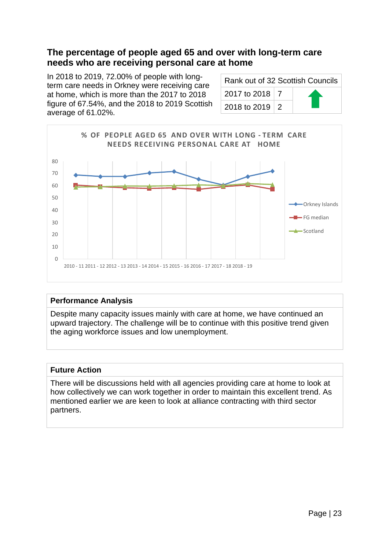### <span id="page-22-0"></span>**The percentage of people aged 65 and over with long-term care needs who are receiving personal care at home**

In 2018 to 2019, 72.00% of people with longterm care needs in Orkney were receiving care at home, which is more than the 2017 to 2018 figure of 67.54%, and the 2018 to 2019 Scottish average of 61.02%.

| Rank out of 32 Scottish Councils |  |  |
|----------------------------------|--|--|
| 2017 to 2018   7                 |  |  |
| 2018 to 2019   2                 |  |  |



#### **Performance Analysis**

Despite many capacity issues mainly with care at home, we have continued an upward trajectory. The challenge will be to continue with this positive trend given the aging workforce issues and low unemployment.

#### **Future Action**

There will be discussions held with all agencies providing care at home to look at how collectively we can work together in order to maintain this excellent trend. As mentioned earlier we are keen to look at alliance contracting with third sector partners.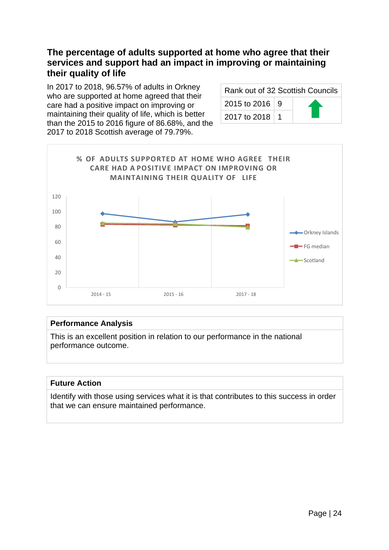## <span id="page-23-0"></span>**The percentage of adults supported at home who agree that their services and support had an impact in improving or maintaining their quality of life**

In 2017 to 2018, 96.57% of adults in Orkney who are supported at home agreed that their care had a positive impact on improving or maintaining their quality of life, which is better than the 2015 to 2016 figure of 86.68%, and the 2017 to 2018 Scottish average of 79.79%.

| Rank out of 32 Scottish Councils |  |  |
|----------------------------------|--|--|
| 2015 to 2016 9                   |  |  |
| 2017 to 2018   1                 |  |  |



#### **Performance Analysis**

This is an excellent position in relation to our performance in the national performance outcome.

#### **Future Action**

Identify with those using services what it is that contributes to this success in order that we can ensure maintained performance.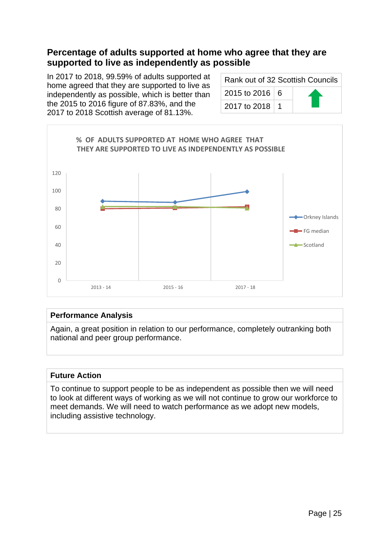## <span id="page-24-0"></span>**Percentage of adults supported at home who agree that they are supported to live as independently as possible**

In 2017 to 2018, 99.59% of adults supported at home agreed that they are supported to live as independently as possible, which is better than the 2015 to 2016 figure of 87.83%, and the 2017 to 2018 Scottish average of 81.13%.

| Rank out of 32 Scottish Councils |  |  |
|----------------------------------|--|--|
| 2015 to 2016 6                   |  |  |
| 2017 to 2018   1                 |  |  |



#### **Performance Analysis**

Again, a great position in relation to our performance, completely outranking both national and peer group performance.

#### **Future Action**

To continue to support people to be as independent as possible then we will need to look at different ways of working as we will not continue to grow our workforce to meet demands. We will need to watch performance as we adopt new models, including assistive technology.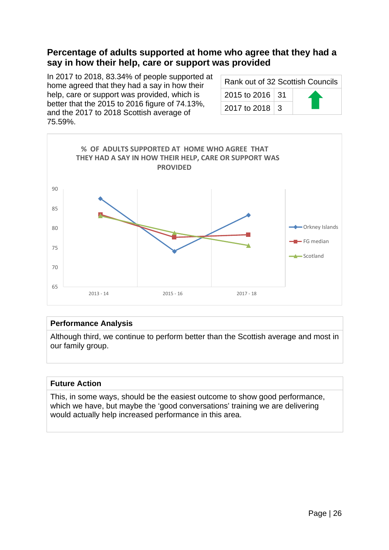## <span id="page-25-0"></span>**Percentage of adults supported at home who agree that they had a say in how their help, care or support was provided**

In 2017 to 2018, 83.34% of people supported at home agreed that they had a say in how their help, care or support was provided, which is better that the 2015 to 2016 figure of 74.13%, and the 2017 to 2018 Scottish average of 75.59%.

| Rank out of 32 Scottish Councils |  |  |
|----------------------------------|--|--|
| 2015 to 2016 31                  |  |  |
| 2017 to 2018 3                   |  |  |



#### **Performance Analysis**

Although third, we continue to perform better than the Scottish average and most in our family group.

#### **Future Action**

This, in some ways, should be the easiest outcome to show good performance, which we have, but maybe the 'good conversations' training we are delivering would actually help increased performance in this area.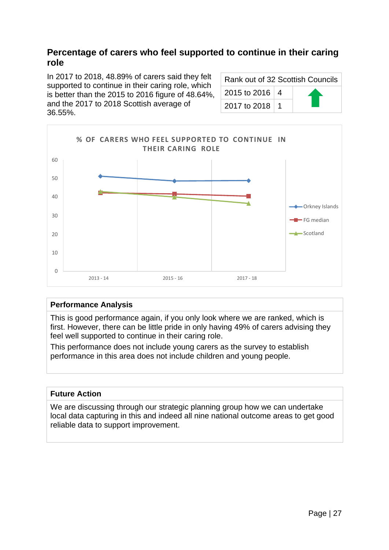## <span id="page-26-0"></span>**Percentage of carers who feel supported to continue in their caring role**

In 2017 to 2018, 48.89% of carers said they felt supported to continue in their caring role, which is better than the 2015 to 2016 figure of 48.64%, and the 2017 to 2018 Scottish average of 36.55%.

| Rank out of 32 Scottish Councils |                  |  |  |
|----------------------------------|------------------|--|--|
|                                  | 2015 to 2016 4   |  |  |
|                                  | 2017 to 2018   1 |  |  |



#### **Performance Analysis**

This is good performance again, if you only look where we are ranked, which is first. However, there can be little pride in only having 49% of carers advising they feel well supported to continue in their caring role.

This performance does not include young carers as the survey to establish performance in this area does not include children and young people.

#### **Future Action**

We are discussing through our strategic planning group how we can undertake local data capturing in this and indeed all nine national outcome areas to get good reliable data to support improvement.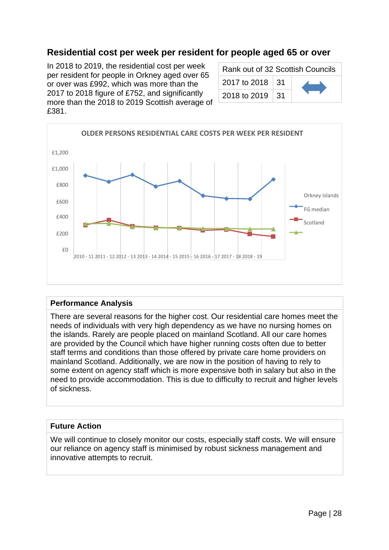## **Residential cost per week per resident for people aged 65 or over**

<span id="page-27-0"></span>In 2018 to 2019, the residential cost per week per resident for people in Orkney aged over 65 or over was £992, which was more than the 2017 to 2018 figure of £752, and significantly more than the 2018 to 2019 Scottish average of £381.

| Rank out of 32 Scottish Councils |  |  |
|----------------------------------|--|--|
| 2017 to 2018 31                  |  |  |
| 2018 to 2019   31                |  |  |



#### **Performance Analysis**

There are several reasons for the higher cost. Our residential care homes meet the needs of individuals with very high dependency as we have no nursing homes on the islands. Rarely are people placed on mainland Scotland. All our care homes are provided by the Council which have higher running costs often due to better staff terms and conditions than those offered by private care home providers on mainland Scotland. Additionally, we are now in the position of having to rely to some extent on agency staff which is more expensive both in salary but also in the need to provide accommodation. This is due to difficulty to recruit and higher levels of sickness.

#### **Future Action**

We will continue to closely monitor our costs, especially staff costs. We will ensure our reliance on agency staff is minimised by robust sickness management and innovative attempts to recruit.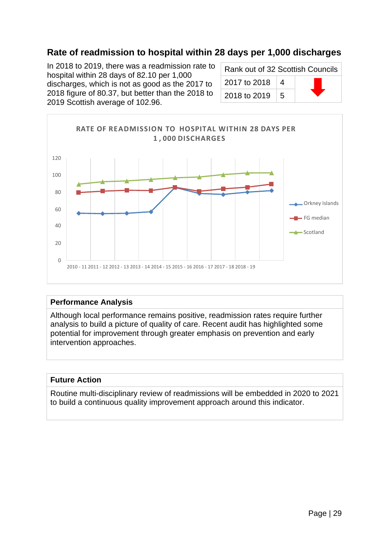## **Rate of readmission to hospital within 28 days per 1,000 discharges**

<span id="page-28-0"></span>In 2018 to 2019, there was a readmission rate to hospital within 28 days of 82.10 per 1,000 discharges, which is not as good as the 2017 to 2018 figure of 80.37, but better than the 2018 to 2019 Scottish average of 102.96.

| Rank out of 32 Scottish Councils |                |  |
|----------------------------------|----------------|--|
| 2017 to 2018                     | 4              |  |
| 2018 to 2019                     | $\overline{5}$ |  |



#### **Performance Analysis**

Although local performance remains positive, readmission rates require further analysis to build a picture of quality of care. Recent audit has highlighted some potential for improvement through greater emphasis on prevention and early intervention approaches.

#### **Future Action**

Routine multi-disciplinary review of readmissions will be embedded in 2020 to 2021 to build a continuous quality improvement approach around this indicator.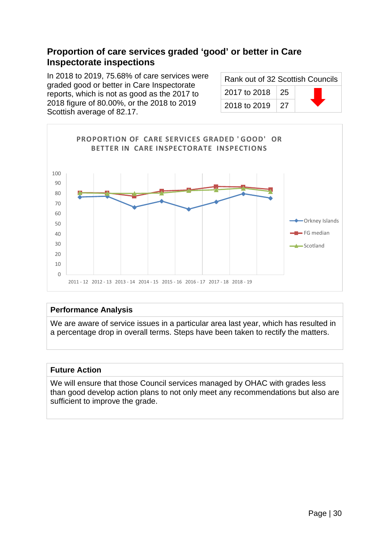## <span id="page-29-0"></span>**Proportion of care services graded 'good' or better in Care Inspectorate inspections**

In 2018 to 2019, 75.68% of care services were graded good or better in Care Inspectorate reports, which is not as good as the 2017 to 2018 figure of 80.00%, or the 2018 to 2019 Scottish average of 82.17.

| Rank out of 32 Scottish Councils |  |  |  |
|----------------------------------|--|--|--|
| 2017 to 2018 25                  |  |  |  |
| 2018 to 2019 27                  |  |  |  |



#### **Performance Analysis**

We are aware of service issues in a particular area last year, which has resulted in a percentage drop in overall terms. Steps have been taken to rectify the matters.

#### **Future Action**

We will ensure that those Council services managed by OHAC with grades less than good develop action plans to not only meet any recommendations but also are sufficient to improve the grade.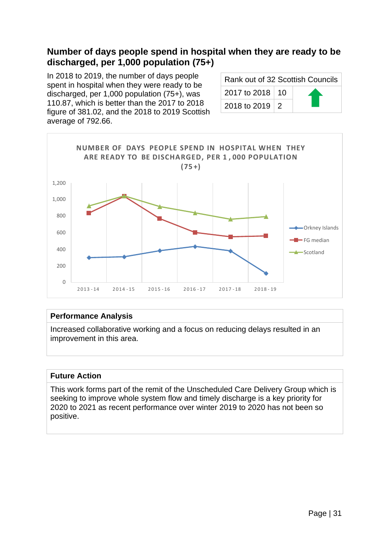## <span id="page-30-0"></span>**Number of days people spend in hospital when they are ready to be discharged, per 1,000 population (75+)**

In 2018 to 2019, the number of days people spent in hospital when they were ready to be discharged, per 1,000 population (75+), was 110.87, which is better than the 2017 to 2018 figure of 381.02, and the 2018 to 2019 Scottish average of 792.66.

| Rank out of 32 Scottish Councils |  |  |
|----------------------------------|--|--|
| 2017 to 2018   10                |  |  |
| 2018 to 2019   2                 |  |  |



#### **Performance Analysis**

Increased collaborative working and a focus on reducing delays resulted in an improvement in this area.

#### **Future Action**

This work forms part of the remit of the Unscheduled Care Delivery Group which is seeking to improve whole system flow and timely discharge is a key priority for 2020 to 2021 as recent performance over winter 2019 to 2020 has not been so positive.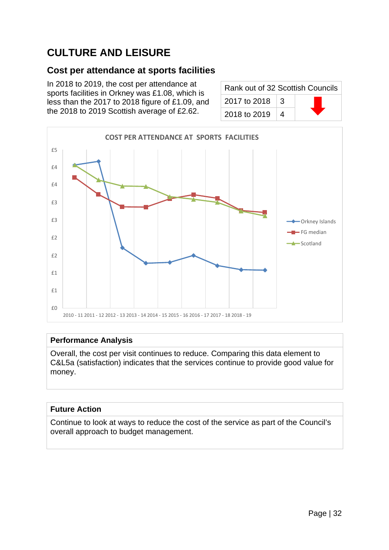## <span id="page-31-0"></span>**CULTURE AND LEISURE**

## <span id="page-31-1"></span>**Cost per attendance at sports facilities**

In 2018 to 2019, the cost per attendance at sports facilities in Orkney was £1.08, which is less than the 2017 to 2018 figure of £1.09, and the 2018 to 2019 Scottish average of £2.62.

| Rank out of 32 Scottish Councils |    |  |
|----------------------------------|----|--|
| 2017 to 2018                     | -3 |  |
| 2018 to 2019                     | 4  |  |



#### **Performance Analysis**

Overall, the cost per visit continues to reduce. Comparing this data element to C&L5a (satisfaction) indicates that the services continue to provide good value for money.

#### **Future Action**

Continue to look at ways to reduce the cost of the service as part of the Council's overall approach to budget management.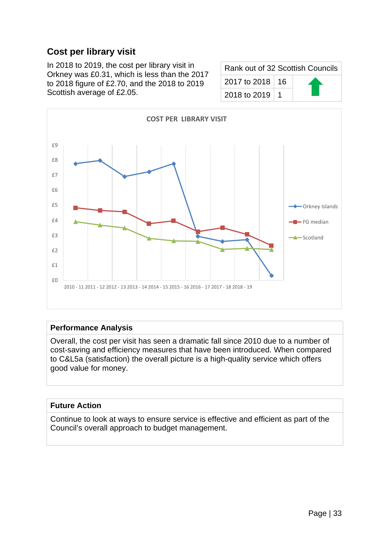## <span id="page-32-0"></span>**Cost per library visit**

In 2018 to 2019, the cost per library visit in Orkney was £0.31, which is less than the 2017 to 2018 figure of £2.70, and the 2018 to 2019 Scottish average of £2.05.

| Rank out of 32 Scottish Councils |  |
|----------------------------------|--|
| 2017 to 2018   16                |  |
| 2018 to 2019   1                 |  |



#### **Performance Analysis**

Overall, the cost per visit has seen a dramatic fall since 2010 due to a number of cost-saving and efficiency measures that have been introduced. When compared to C&L5a (satisfaction) the overall picture is a high-quality service which offers good value for money.

#### **Future Action**

Continue to look at ways to ensure service is effective and efficient as part of the Council's overall approach to budget management.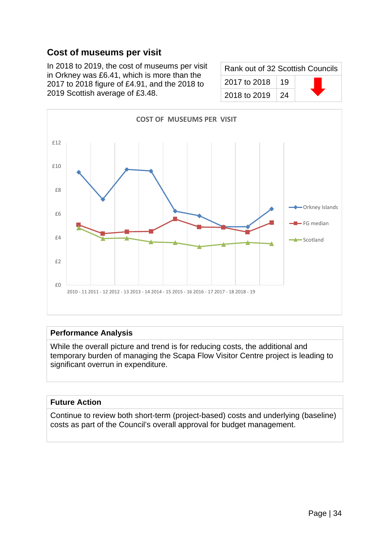## **Cost of museums per visit**

<span id="page-33-0"></span>In 2018 to 2019, the cost of museums per visit in Orkney was £6.41, which is more than the 2017 to 2018 figure of £4.91, and the 2018 to 2019 Scottish average of £3.48.

| Rank out of 32 Scottish Councils |             |  |
|----------------------------------|-------------|--|
| 2017 to 2018                     | ∣ 19        |  |
| 2018 to 2019                     | $\sqrt{24}$ |  |



#### **Performance Analysis**

While the overall picture and trend is for reducing costs, the additional and temporary burden of managing the Scapa Flow Visitor Centre project is leading to significant overrun in expenditure.

#### **Future Action**

Continue to review both short-term (project-based) costs and underlying (baseline) costs as part of the Council's overall approval for budget management.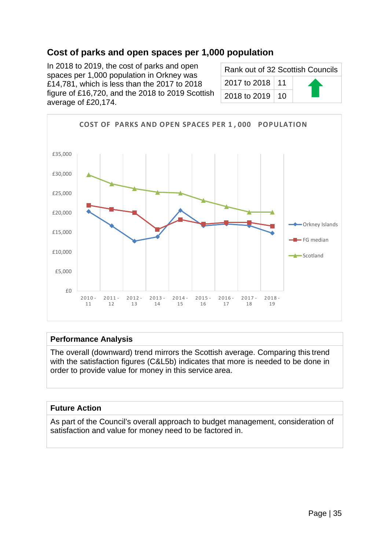## **Cost of parks and open spaces per 1,000 population**

<span id="page-34-0"></span>In 2018 to 2019, the cost of parks and open spaces per 1,000 population in Orkney was £14,781, which is less than the 2017 to 2018 figure of £16,720, and the 2018 to 2019 Scottish average of £20,174.

| Rank out of 32 Scottish Councils |  |
|----------------------------------|--|
| 2017 to 2018   11                |  |
| 2018 to 2019   10                |  |



#### **Performance Analysis**

The overall (downward) trend mirrors the Scottish average. Comparing this trend with the satisfaction figures (C&L5b) indicates that more is needed to be done in order to provide value for money in this service area.

#### **Future Action**

As part of the Council's overall approach to budget management, consideration of satisfaction and value for money need to be factored in.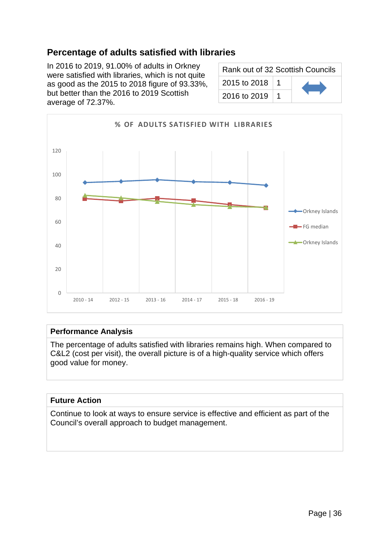## **Percentage of adults satisfied with libraries**

<span id="page-35-0"></span>In 2016 to 2019, 91.00% of adults in Orkney were satisfied with libraries, which is not quite as good as the 2015 to 2018 figure of 93.33%, but better than the 2016 to 2019 Scottish average of 72.37%.

| Rank out of 32 Scottish Councils |  |  |
|----------------------------------|--|--|
| 2015 to 2018                     |  |  |
| 2016 to 2019                     |  |  |



#### **Performance Analysis**

The percentage of adults satisfied with libraries remains high. When compared to C&L2 (cost per visit), the overall picture is of a high-quality service which offers good value for money.

#### **Future Action**

Continue to look at ways to ensure service is effective and efficient as part of the Council's overall approach to budget management.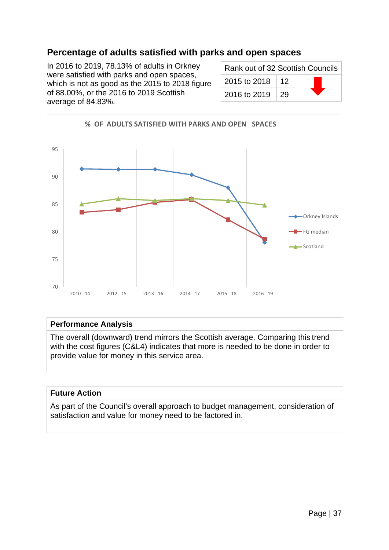## **Percentage of adults satisfied with parks and open spaces**

In 2016 to 2019, 78.13% of adults in Orkney were satisfied with parks and open spaces, which is not as good as the 2015 to 2018 figure of 88.00%, or the 2016 to 2019 Scottish average of 84.83%.

| Rank out of 32 Scottish Councils |    |  |
|----------------------------------|----|--|
| 2015 to 2018                     | 12 |  |
| 2016 to 2019                     | 29 |  |



#### **Performance Analysis**

The overall (downward) trend mirrors the Scottish average. Comparing this trend with the cost figures (C&L4) indicates that more is needed to be done in order to provide value for money in this service area.

### **Future Action**

As part of the Council's overall approach to budget management, consideration of satisfaction and value for money need to be factored in.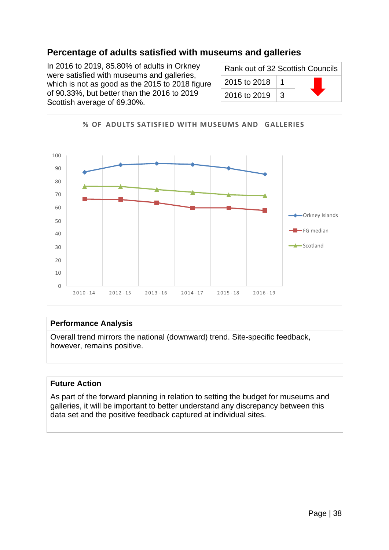## **Percentage of adults satisfied with museums and galleries**

In 2016 to 2019, 85.80% of adults in Orkney were satisfied with museums and galleries, which is not as good as the 2015 to 2018 figure of 90.33%, but better than the 2016 to 2019 Scottish average of 69.30%.

| Rank out of 32 Scottish Councils |   |  |
|----------------------------------|---|--|
| 2015 to 2018                     |   |  |
| 2016 to 2019                     | З |  |



#### **Performance Analysis**

Overall trend mirrors the national (downward) trend. Site-specific feedback, however, remains positive.

#### **Future Action**

As part of the forward planning in relation to setting the budget for museums and galleries, it will be important to better understand any discrepancy between this data set and the positive feedback captured at individual sites.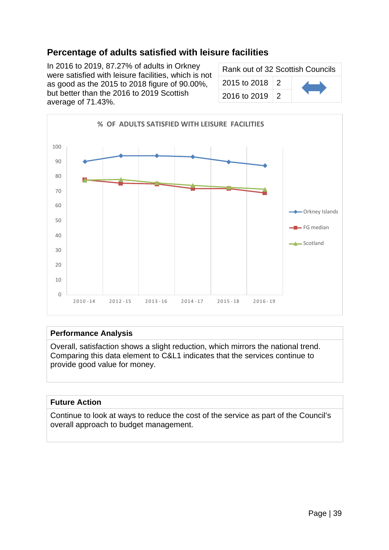# **Percentage of adults satisfied with leisure facilities**

In 2016 to 2019, 87.27% of adults in Orkney were satisfied with leisure facilities, which is not as good as the 2015 to 2018 figure of 90.00%, but better than the 2016 to 2019 Scottish average of 71.43%.

| Rank out of 32 Scottish Councils |               |  |
|----------------------------------|---------------|--|
| 2015 to 2018                     | 2             |  |
| 2016 to 2019                     | $\mathcal{P}$ |  |



#### **Performance Analysis**

Overall, satisfaction shows a slight reduction, which mirrors the national trend. Comparing this data element to C&L1 indicates that the services continue to provide good value for money.

#### **Future Action**

Continue to look at ways to reduce the cost of the service as part of the Council's overall approach to budget management.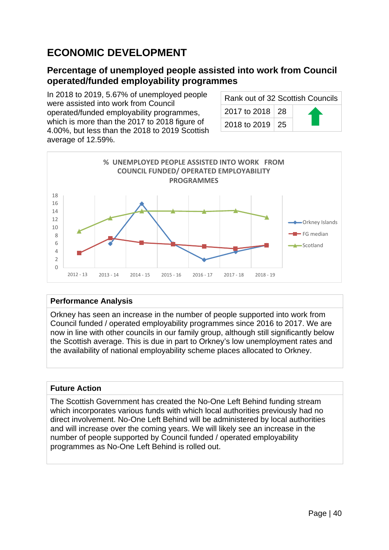# **ECONOMIC DEVELOPMENT**

### **Percentage of unemployed people assisted into work from Council operated/funded employability programmes**

In 2018 to 2019, 5.67% of unemployed people were assisted into work from Council operated/funded employability programmes, which is more than the 2017 to 2018 figure of 4.00%, but less than the 2018 to 2019 Scottish average of 12.59%.

| Rank out of 32 Scottish Councils |  |  |
|----------------------------------|--|--|
| 2017 to 2018 28                  |  |  |
| 2018 to 2019   25                |  |  |



### **Performance Analysis**

Orkney has seen an increase in the number of people supported into work from Council funded / operated employability programmes since 2016 to 2017. We are now in line with other councils in our family group, although still significantly below the Scottish average. This is due in part to Orkney's low unemployment rates and the availability of national employability scheme places allocated to Orkney.

#### **Future Action**

The Scottish Government has created the No-One Left Behind funding stream which incorporates various funds with which local authorities previously had no direct involvement. No-One Left Behind will be administered by local authorities and will increase over the coming years. We will likely see an increase in the number of people supported by Council funded / operated employability programmes as No-One Left Behind is rolled out.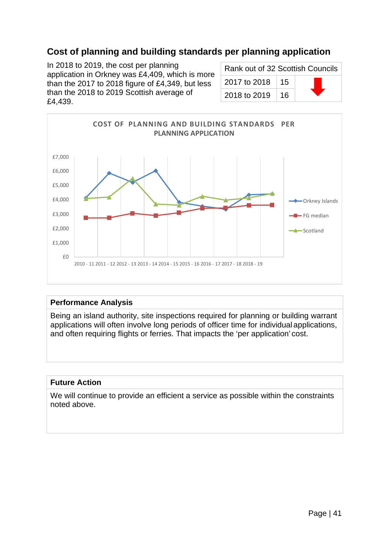# **Cost of planning and building standards per planning application**

In 2018 to 2019, the cost per planning application in Orkney was £4,409, which is more than the 2017 to 2018 figure of £4,349, but less than the 2018 to 2019 Scottish average of £4,439.

| Rank out of 32 Scottish Councils |      |  |
|----------------------------------|------|--|
| 2017 to 2018                     | ∣ 15 |  |
| 2018 to 2019                     | ⊺ 16 |  |



#### **Performance Analysis**

Being an island authority, site inspections required for planning or building warrant applications will often involve long periods of officer time for individual applications, and often requiring flights or ferries. That impacts the 'per application' cost.

#### **Future Action**

We will continue to provide an efficient a service as possible within the constraints noted above.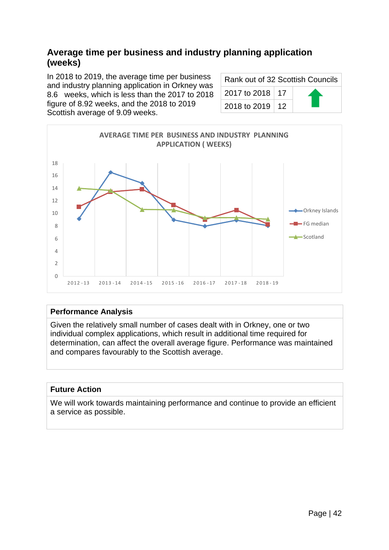### **Average time per business and industry planning application (weeks)**

In 2018 to 2019, the average time per business and industry planning application in Orkney was 8.6 weeks, which is less than the 2017 to 2018 figure of 8.92 weeks, and the 2018 to 2019 Scottish average of 9.09 weeks.

| Rank out of 32 Scottish Councils |  |  |
|----------------------------------|--|--|
| 2017 to 2018   17                |  |  |
| 2018 to 2019   12                |  |  |



#### **Performance Analysis**

Given the relatively small number of cases dealt with in Orkney, one or two individual complex applications, which result in additional time required for determination, can affect the overall average figure. Performance was maintained and compares favourably to the Scottish average.

#### **Future Action**

We will work towards maintaining performance and continue to provide an efficient a service as possible.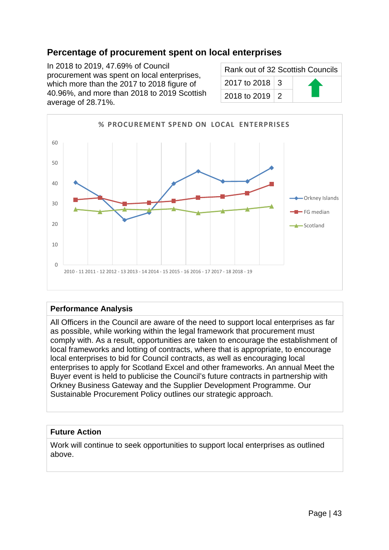### **Percentage of procurement spent on local enterprises**

In 2018 to 2019, 47.69% of Council procurement was spent on local enterprises, which more than the 2017 to 2018 figure of 40.96%, and more than 2018 to 2019 Scottish average of 28.71%.

| Rank out of 32 Scottish Councils |  |  |
|----------------------------------|--|--|
| 2017 to 2018 $\vert$ 3           |  |  |
| 2018 to 2019   2                 |  |  |



#### **Performance Analysis**

All Officers in the Council are aware of the need to support local enterprises as far as possible, while working within the legal framework that procurement must comply with. As a result, opportunities are taken to encourage the establishment of local frameworks and lotting of contracts, where that is appropriate, to encourage local enterprises to bid for Council contracts, as well as encouraging local enterprises to apply for Scotland Excel and other frameworks. An annual Meet the Buyer event is held to publicise the Council's future contracts in partnership with Orkney Business Gateway and the Supplier Development Programme. Our Sustainable Procurement Policy outlines our strategic approach.

#### **Future Action**

Work will continue to seek opportunities to support local enterprises as outlined above.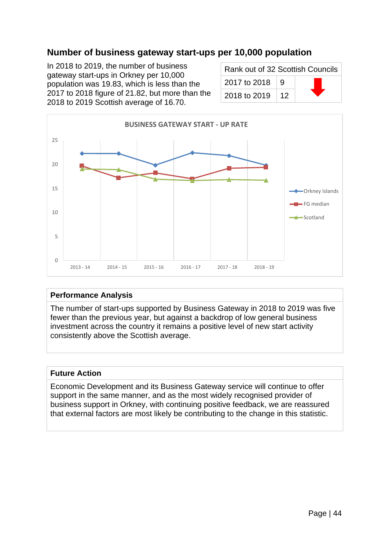## **Number of business gateway start-ups per 10,000 population**

In 2018 to 2019, the number of business gateway start-ups in Orkney per 10,000 population was 19.83, which is less than the 2017 to 2018 figure of 21.82, but more than the 2018 to 2019 Scottish average of 16.70.

| Rank out of 32 Scottish Councils |                 |  |
|----------------------------------|-----------------|--|
| 2017 to 2018                     | -9              |  |
| 2018 to 2019                     | 12 <sup>°</sup> |  |



#### **Performance Analysis**

The number of start-ups supported by Business Gateway in 2018 to 2019 was five fewer than the previous year, but against a backdrop of low general business investment across the country it remains a positive level of new start activity consistently above the Scottish average.

#### **Future Action**

Economic Development and its Business Gateway service will continue to offer support in the same manner, and as the most widely recognised provider of business support in Orkney, with continuing positive feedback, we are reassured that external factors are most likely be contributing to the change in this statistic.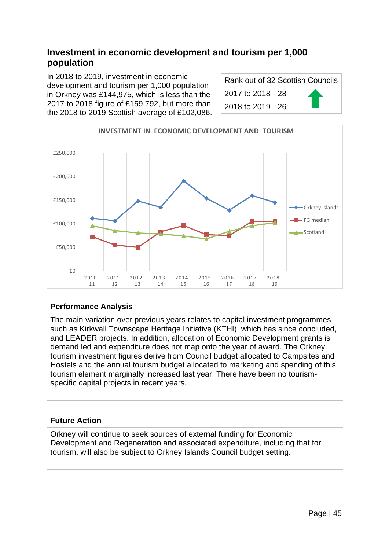# **Investment in economic development and tourism per 1,000 population**

In 2018 to 2019, investment in economic development and tourism per 1,000 population in Orkney was £144,975, which is less than the 2017 to 2018 figure of £159,792, but more than the 2018 to 2019 Scottish average of £102,086.

| Rank out of 32 Scottish Councils |  |  |
|----------------------------------|--|--|
| 2017 to 2018 28                  |  |  |
| 2018 to 2019   26                |  |  |



### **Performance Analysis**

The main variation over previous years relates to capital investment programmes such as Kirkwall Townscape Heritage Initiative (KTHI), which has since concluded, and LEADER projects. In addition, allocation of Economic Development grants is demand led and expenditure does not map onto the year of award. The Orkney tourism investment figures derive from Council budget allocated to Campsites and Hostels and the annual tourism budget allocated to marketing and spending of this tourism element marginally increased last year. There have been no tourismspecific capital projects in recent years.

### **Future Action**

Orkney will continue to seek sources of external funding for Economic Development and Regeneration and associated expenditure, including that for tourism, will also be subject to Orkney Islands Council budget setting.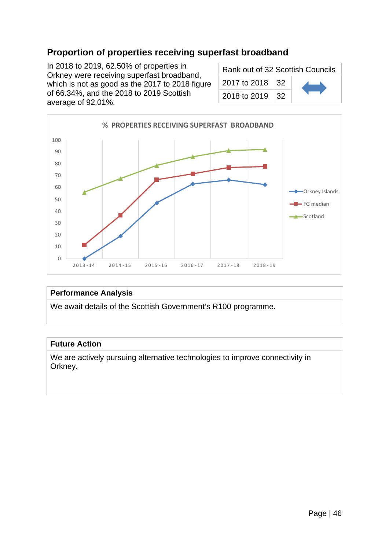# **Proportion of properties receiving superfast broadband**

In 2018 to 2019, 62.50% of properties in Orkney were receiving superfast broadband, which is not as good as the 2017 to 2018 figure of 66.34%, and the 2018 to 2019 Scottish average of 92.01%.

| Rank out of 32 Scottish Councils |  |  |
|----------------------------------|--|--|
| 2017 to 2018 32                  |  |  |
| 2018 to 2019   32                |  |  |



#### **Performance Analysis**

We await details of the Scottish Government's R100 programme.

#### **Future Action**

We are actively pursuing alternative technologies to improve connectivity in Orkney.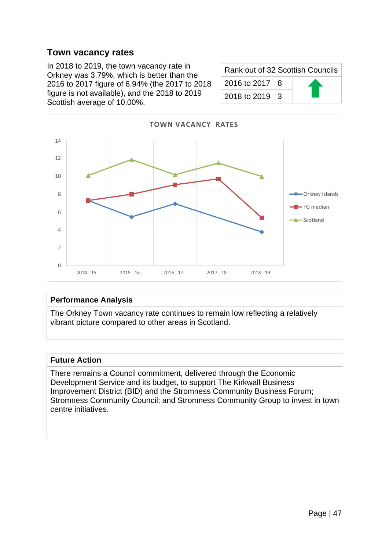### **Town vacancy rates**

In 2018 to 2019, the town vacancy rate in Orkney was 3.79%, which is better than the 2016 to 2017 figure of 6.94% (the 2017 to 2018 figure is not available), and the 2018 to 2019 Scottish average of 10.00%.

| Rank out of 32 Scottish Councils |  |  |
|----------------------------------|--|--|
| 2016 to 2017   8                 |  |  |
| 2018 to 2019   3                 |  |  |



#### **Performance Analysis**

The Orkney Town vacancy rate continues to remain low reflecting a relatively vibrant picture compared to other areas in Scotland.

#### **Future Action**

There remains a Council commitment, delivered through the Economic Development Service and its budget, to support The Kirkwall Business Improvement District (BID) and the Stromness Community Business Forum; Stromness Community Council; and Stromness Community Group to invest in town centre initiatives.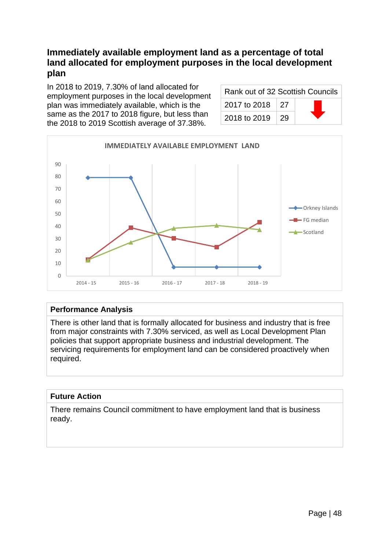## **Immediately available employment land as a percentage of total land allocated for employment purposes in the local development plan**

In 2018 to 2019, 7.30% of land allocated for employment purposes in the local development plan was immediately available, which is the same as the 2017 to 2018 figure, but less than the 2018 to 2019 Scottish average of 37.38%.

| Rank out of 32 Scottish Councils |     |  |
|----------------------------------|-----|--|
| 2017 to 2018                     | -27 |  |
| 2018 to 2019                     | -29 |  |



### **Performance Analysis**

There is other land that is formally allocated for business and industry that is free from major constraints with 7.30% serviced, as well as Local Development Plan policies that support appropriate business and industrial development. The servicing requirements for employment land can be considered proactively when required.

### **Future Action**

There remains Council commitment to have employment land that is business ready.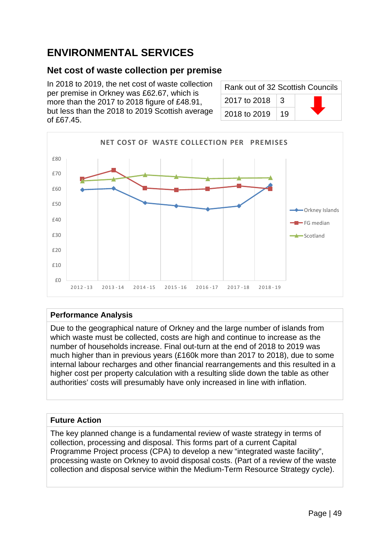# **ENVIRONMENTAL SERVICES**

## **Net cost of waste collection per premise**

In 2018 to 2019, the net cost of waste collection per premise in Orkney was £62.67, which is more than the 2017 to 2018 figure of £48.91, but less than the 2018 to 2019 Scottish average of £67.45.

| Rank out of 32 Scottish Councils |    |  |
|----------------------------------|----|--|
| 2017 to 2018                     | 3  |  |
| 2018 to 2019                     | 19 |  |



### **Performance Analysis**

Due to the geographical nature of Orkney and the large number of islands from which waste must be collected, costs are high and continue to increase as the number of households increase. Final out-turn at the end of 2018 to 2019 was much higher than in previous years (£160k more than 2017 to 2018), due to some internal labour recharges and other financial rearrangements and this resulted in a higher cost per property calculation with a resulting slide down the table as other authorities' costs will presumably have only increased in line with inflation.

### **Future Action**

The key planned change is a fundamental review of waste strategy in terms of collection, processing and disposal. This forms part of a current Capital Programme Project process (CPA) to develop a new "integrated waste facility", processing waste on Orkney to avoid disposal costs. (Part of a review of the waste collection and disposal service within the Medium-Term Resource Strategy cycle).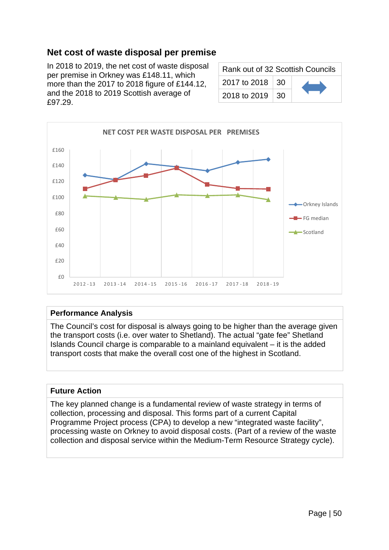# **Net cost of waste disposal per premise**

In 2018 to 2019, the net cost of waste disposal per premise in Orkney was £148.11, which more than the 2017 to 2018 figure of £144.12, and the 2018 to 2019 Scottish average of £97.29.

| Rank out of 32 Scottish Councils |     |  |
|----------------------------------|-----|--|
| 2017 to 2018   30                |     |  |
| 2018 to 2019                     | 30. |  |



#### **Performance Analysis**

The Council's cost for disposal is always going to be higher than the average given the transport costs (i.e. over water to Shetland). The actual "gate fee" Shetland Islands Council charge is comparable to a mainland equivalent – it is the added transport costs that make the overall cost one of the highest in Scotland.

#### **Future Action**

The key planned change is a fundamental review of waste strategy in terms of collection, processing and disposal. This forms part of a current Capital Programme Project process (CPA) to develop a new "integrated waste facility", processing waste on Orkney to avoid disposal costs. (Part of a review of the waste collection and disposal service within the Medium-Term Resource Strategy cycle).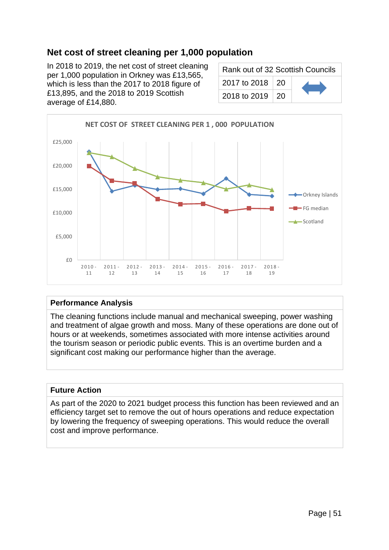# **Net cost of street cleaning per 1,000 population**

In 2018 to 2019, the net cost of street cleaning per 1,000 population in Orkney was £13,565, which is less than the 2017 to 2018 figure of £13,895, and the 2018 to 2019 Scottish average of £14,880.

| Rank out of 32 Scottish Councils |  |  |
|----------------------------------|--|--|
| 2017 to 2018   20                |  |  |
| 2018 to 2019   20                |  |  |



### **Performance Analysis**

The cleaning functions include manual and mechanical sweeping, power washing and treatment of algae growth and moss. Many of these operations are done out of hours or at weekends, sometimes associated with more intense activities around the tourism season or periodic public events. This is an overtime burden and a significant cost making our performance higher than the average.

#### **Future Action**

As part of the 2020 to 2021 budget process this function has been reviewed and an efficiency target set to remove the out of hours operations and reduce expectation by lowering the frequency of sweeping operations. This would reduce the overall cost and improve performance.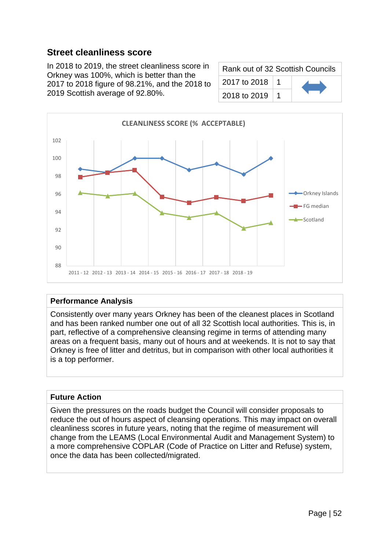## **Street cleanliness score**

In 2018 to 2019, the street cleanliness score in Orkney was 100%, which is better than the 2017 to 2018 figure of 98.21%, and the 2018 to 2019 Scottish average of 92.80%.

| Rank out of 32 Scottish Councils |  |  |
|----------------------------------|--|--|
| 2017 to 2018                     |  |  |
| 2018 to 2019                     |  |  |



### **Performance Analysis**

Consistently over many years Orkney has been of the cleanest places in Scotland and has been ranked number one out of all 32 Scottish local authorities. This is, in part, reflective of a comprehensive cleansing regime in terms of attending many areas on a frequent basis, many out of hours and at weekends. It is not to say that Orkney is free of litter and detritus, but in comparison with other local authorities it is a top performer.

#### **Future Action**

Given the pressures on the roads budget the Council will consider proposals to reduce the out of hours aspect of cleansing operations. This may impact on overall cleanliness scores in future years, noting that the regime of measurement will change from the LEAMS (Local Environmental Audit and Management System) to a more comprehensive COPLAR (Code of Practice on Litter and Refuse) system, once the data has been collected/migrated.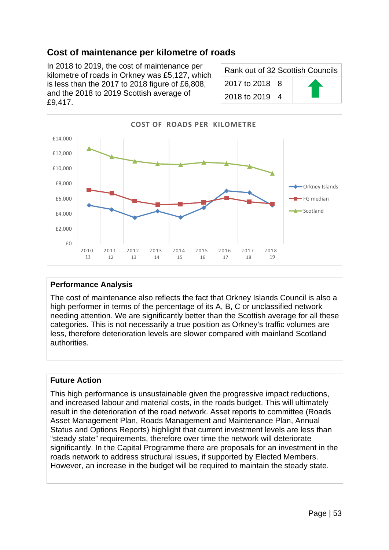# **Cost of maintenance per kilometre of roads**

In 2018 to 2019, the cost of maintenance per kilometre of roads in Orkney was £5,127, which is less than the 2017 to 2018 figure of £6,808, and the 2018 to 2019 Scottish average of £9,417.

| Rank out of 32 Scottish Councils |  |  |
|----------------------------------|--|--|
| 2017 to 2018   8                 |  |  |
| 2018 to 2019   4                 |  |  |



#### **Performance Analysis**

The cost of maintenance also reflects the fact that Orkney Islands Council is also a high performer in terms of the percentage of its A, B, C or unclassified network needing attention. We are significantly better than the Scottish average for all these categories. This is not necessarily a true position as Orkney's traffic volumes are less, therefore deterioration levels are slower compared with mainland Scotland authorities.

#### **Future Action**

This high performance is unsustainable given the progressive impact reductions, and increased labour and material costs, in the roads budget. This will ultimately result in the deterioration of the road network. Asset reports to committee (Roads Asset Management Plan, Roads Management and Maintenance Plan, Annual Status and Options Reports) highlight that current investment levels are less than "steady state" requirements, therefore over time the network will deteriorate significantly. In the Capital Programme there are proposals for an investment in the roads network to address structural issues, if supported by Elected Members. However, an increase in the budget will be required to maintain the steady state.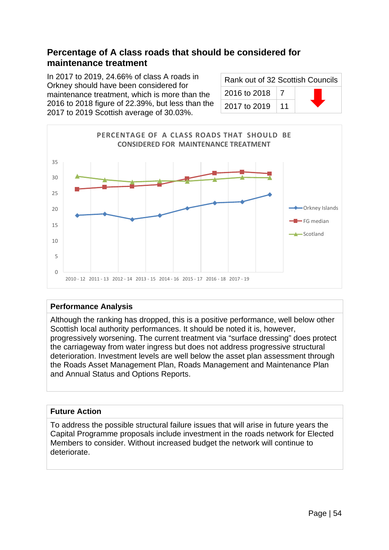## **Percentage of A class roads that should be considered for maintenance treatment**

In 2017 to 2019, 24.66% of class A roads in Orkney should have been considered for maintenance treatment, which is more than the 2016 to 2018 figure of 22.39%, but less than the 2017 to 2019 Scottish average of 30.03%.

| Rank out of 32 Scottish Councils |    |  |
|----------------------------------|----|--|
| 2016 to 2018                     |    |  |
| 2017 to 2019                     | 11 |  |



#### **Performance Analysis**

Although the ranking has dropped, this is a positive performance, well below other Scottish local authority performances. It should be noted it is, however, progressively worsening. The current treatment via "surface dressing" does protect the carriageway from water ingress but does not address progressive structural deterioration. Investment levels are well below the asset plan assessment through the Roads Asset Management Plan, Roads Management and Maintenance Plan and Annual Status and Options Reports.

### **Future Action**

To address the possible structural failure issues that will arise in future years the Capital Programme proposals include investment in the roads network for Elected Members to consider. Without increased budget the network will continue to deteriorate.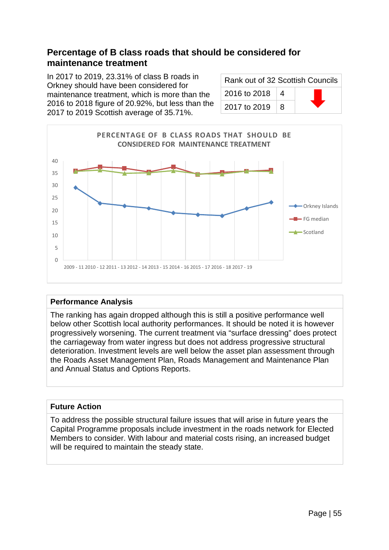## **Percentage of B class roads that should be considered for maintenance treatment**

In 2017 to 2019, 23.31% of class B roads in Orkney should have been considered for maintenance treatment, which is more than the 2016 to 2018 figure of 20.92%, but less than the 2017 to 2019 Scottish average of 35.71%.

| Rank out of 32 Scottish Councils |          |  |
|----------------------------------|----------|--|
| 2016 to 2018                     | $\Delta$ |  |
| 2017 to 2019                     | 8        |  |



#### **Performance Analysis**

The ranking has again dropped although this is still a positive performance well below other Scottish local authority performances. It should be noted it is however progressively worsening. The current treatment via "surface dressing" does protect the carriageway from water ingress but does not address progressive structural deterioration. Investment levels are well below the asset plan assessment through the Roads Asset Management Plan, Roads Management and Maintenance Plan and Annual Status and Options Reports.

### **Future Action**

To address the possible structural failure issues that will arise in future years the Capital Programme proposals include investment in the roads network for Elected Members to consider. With labour and material costs rising, an increased budget will be required to maintain the steady state.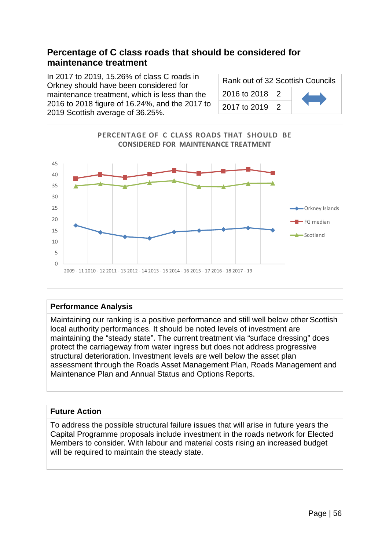## **Percentage of C class roads that should be considered for maintenance treatment**

In 2017 to 2019, 15.26% of class C roads in Orkney should have been considered for maintenance treatment, which is less than the 2016 to 2018 figure of 16.24%, and the 2017 to 2019 Scottish average of 36.25%.

| Rank out of 32 Scottish Councils |                 |  |
|----------------------------------|-----------------|--|
| 2016 to 2018 2                   |                 |  |
| 2017 to 2019                     | $\vert 2 \vert$ |  |



#### **Performance Analysis**

Maintaining our ranking is a positive performance and still well below other Scottish local authority performances. It should be noted levels of investment are maintaining the "steady state". The current treatment via "surface dressing" does protect the carriageway from water ingress but does not address progressive structural deterioration. Investment levels are well below the asset plan assessment through the Roads Asset Management Plan, Roads Management and Maintenance Plan and Annual Status and Options Reports.

#### **Future Action**

To address the possible structural failure issues that will arise in future years the Capital Programme proposals include investment in the roads network for Elected Members to consider. With labour and material costs rising an increased budget will be required to maintain the steady state.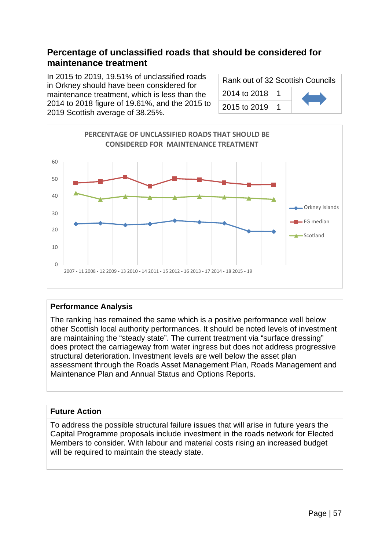## **Percentage of unclassified roads that should be considered for maintenance treatment**

In 2015 to 2019, 19.51% of unclassified roads in Orkney should have been considered for maintenance treatment, which is less than the 2014 to 2018 figure of 19.61%, and the 2015 to 2019 Scottish average of 38.25%.

| Rank out of 32 Scottish Councils |  |  |
|----------------------------------|--|--|
| 2014 to 2018   1                 |  |  |
| 2015 to 2019                     |  |  |



#### **Performance Analysis**

The ranking has remained the same which is a positive performance well below other Scottish local authority performances. It should be noted levels of investment are maintaining the "steady state". The current treatment via "surface dressing" does protect the carriageway from water ingress but does not address progressive structural deterioration. Investment levels are well below the asset plan assessment through the Roads Asset Management Plan, Roads Management and Maintenance Plan and Annual Status and Options Reports.

### **Future Action**

To address the possible structural failure issues that will arise in future years the Capital Programme proposals include investment in the roads network for Elected Members to consider. With labour and material costs rising an increased budget will be required to maintain the steady state.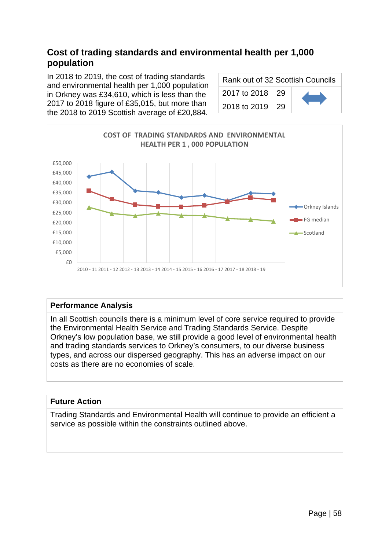# **Cost of trading standards and environmental health per 1,000 population**

In 2018 to 2019, the cost of trading standards and environmental health per 1,000 population in Orkney was £34,610, which is less than the 2017 to 2018 figure of £35,015, but more than the 2018 to 2019 Scottish average of £20,884.

| Rank out of 32 Scottish Councils |  |  |
|----------------------------------|--|--|
| 2017 to 2018 29                  |  |  |
| 2018 to 2019 29                  |  |  |



#### **Performance Analysis**

In all Scottish councils there is a minimum level of core service required to provide the Environmental Health Service and Trading Standards Service. Despite Orkney's low population base, we still provide a good level of environmental health and trading standards services to Orkney's consumers, to our diverse business types, and across our dispersed geography. This has an adverse impact on our costs as there are no economies of scale.

#### **Future Action**

Trading Standards and Environmental Health will continue to provide an efficient a service as possible within the constraints outlined above.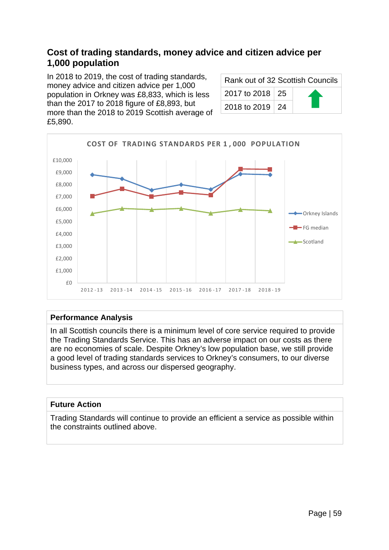### **Cost of trading standards, money advice and citizen advice per 1,000 population**

In 2018 to 2019, the cost of trading standards, money advice and citizen advice per 1,000 population in Orkney was £8,833, which is less than the 2017 to 2018 figure of £8,893, but more than the 2018 to 2019 Scottish average of £5,890.

| Rank out of 32 Scottish Councils |  |  |
|----------------------------------|--|--|
| 2017 to 2018 25                  |  |  |
| 2018 to 2019   24                |  |  |



#### **Performance Analysis**

In all Scottish councils there is a minimum level of core service required to provide the Trading Standards Service. This has an adverse impact on our costs as there are no economies of scale. Despite Orkney's low population base, we still provide a good level of trading standards services to Orkney's consumers, to our diverse business types, and across our dispersed geography.

#### **Future Action**

Trading Standards will continue to provide an efficient a service as possible within the constraints outlined above.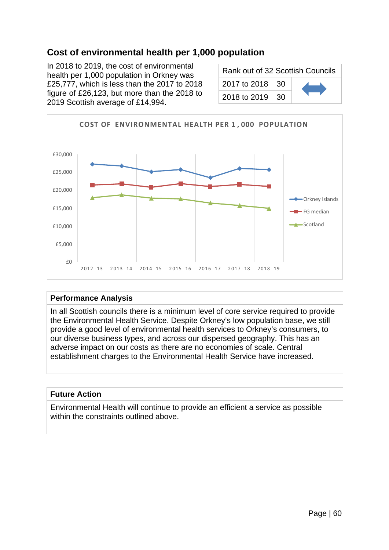# **Cost of environmental health per 1,000 population**

In 2018 to 2019, the cost of environmental health per 1,000 population in Orkney was £25,777, which is less than the 2017 to 2018 figure of £26,123, but more than the 2018 to 2019 Scottish average of £14,994.

| Rank out of 32 Scottish Councils |  |  |
|----------------------------------|--|--|
| 2017 to 2018   30                |  |  |
| 2018 to 2019   30                |  |  |



#### **Performance Analysis**

In all Scottish councils there is a minimum level of core service required to provide the Environmental Health Service. Despite Orkney's low population base, we still provide a good level of environmental health services to Orkney's consumers, to our diverse business types, and across our dispersed geography. This has an adverse impact on our costs as there are no economies of scale. Central establishment charges to the Environmental Health Service have increased.

#### **Future Action**

Environmental Health will continue to provide an efficient a service as possible within the constraints outlined above.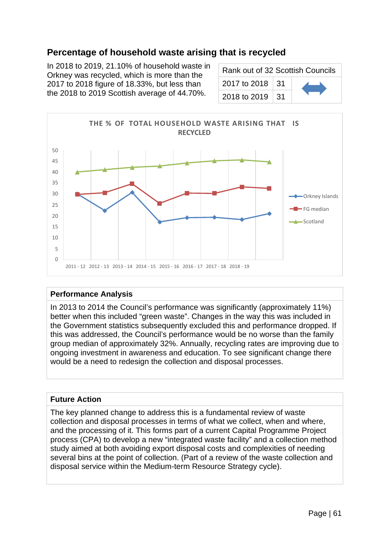# **Percentage of household waste arising that is recycled**

In 2018 to 2019, 21.10% of household waste in Orkney was recycled, which is more than the 2017 to 2018 figure of 18.33%, but less than the 2018 to 2019 Scottish average of 44.70%.

| Rank out of 32 Scottish Councils |  |  |
|----------------------------------|--|--|
| 2017 to 2018 31                  |  |  |
| 2018 to 2019   31                |  |  |



#### **Performance Analysis**

In 2013 to 2014 the Council's performance was significantly (approximately 11%) better when this included "green waste". Changes in the way this was included in the Government statistics subsequently excluded this and performance dropped. If this was addressed, the Council's performance would be no worse than the family group median of approximately 32%. Annually, recycling rates are improving due to ongoing investment in awareness and education. To see significant change there would be a need to redesign the collection and disposal processes.

#### **Future Action**

The key planned change to address this is a fundamental review of waste collection and disposal processes in terms of what we collect, when and where, and the processing of it. This forms part of a current Capital Programme Project process (CPA) to develop a new "integrated waste facility" and a collection method study aimed at both avoiding export disposal costs and complexities of needing several bins at the point of collection. (Part of a review of the waste collection and disposal service within the Medium-term Resource Strategy cycle).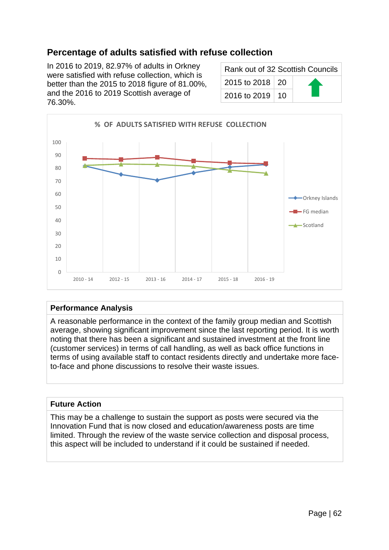# **Percentage of adults satisfied with refuse collection**

In 2016 to 2019, 82.97% of adults in Orkney were satisfied with refuse collection, which is better than the 2015 to 2018 figure of 81.00%, and the 2016 to 2019 Scottish average of 76.30%.

| Rank out of 32 Scottish Councils |  |
|----------------------------------|--|
| 2015 to 2018   20                |  |
| 2016 to 2019   10                |  |



#### **Performance Analysis**

A reasonable performance in the context of the family group median and Scottish average, showing significant improvement since the last reporting period. It is worth noting that there has been a significant and sustained investment at the front line (customer services) in terms of call handling, as well as back office functions in terms of using available staff to contact residents directly and undertake more faceto-face and phone discussions to resolve their waste issues.

#### **Future Action**

This may be a challenge to sustain the support as posts were secured via the Innovation Fund that is now closed and education/awareness posts are time limited. Through the review of the waste service collection and disposal process, this aspect will be included to understand if it could be sustained if needed.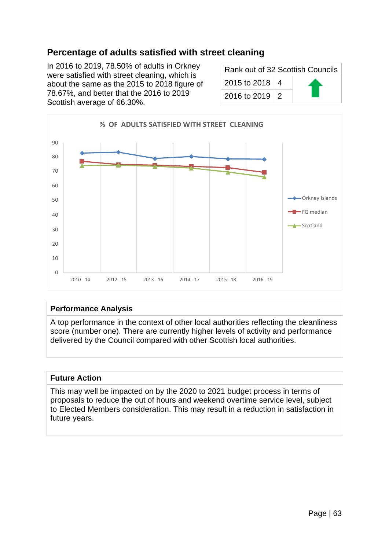# **Percentage of adults satisfied with street cleaning**

In 2016 to 2019, 78.50% of adults in Orkney were satisfied with street cleaning, which is about the same as the 2015 to 2018 figure of 78.67%, and better that the 2016 to 2019 Scottish average of 66.30%.

| Rank out of 32 Scottish Councils |  |
|----------------------------------|--|
| 2015 to 2018   4                 |  |
| 2016 to 2019   2                 |  |



#### **Performance Analysis**

A top performance in the context of other local authorities reflecting the cleanliness score (number one). There are currently higher levels of activity and performance delivered by the Council compared with other Scottish local authorities.

#### **Future Action**

This may well be impacted on by the 2020 to 2021 budget process in terms of proposals to reduce the out of hours and weekend overtime service level, subject to Elected Members consideration. This may result in a reduction in satisfaction in future years.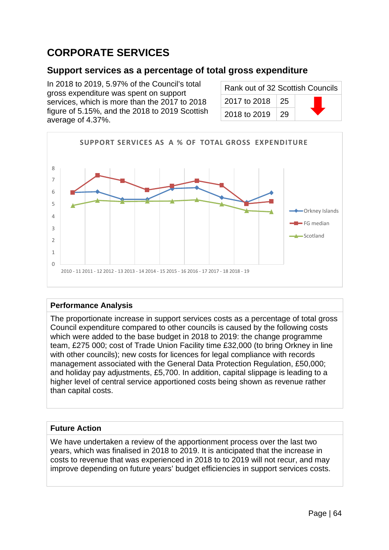# **CORPORATE SERVICES**

### **Support services as a percentage of total gross expenditure**

In 2018 to 2019, 5.97% of the Council's total gross expenditure was spent on support services, which is more than the 2017 to 2018 figure of 5.15%, and the 2018 to 2019 Scottish average of 4.37%.

| Rank out of 32 Scottish Councils |             |  |
|----------------------------------|-------------|--|
| 2017 to 2018 25                  |             |  |
| 2018 to 2019                     | $\sqrt{29}$ |  |



#### **Performance Analysis**

The proportionate increase in support services costs as a percentage of total gross Council expenditure compared to other councils is caused by the following costs which were added to the base budget in 2018 to 2019: the change programme team, £275 000; cost of Trade Union Facility time £32,000 (to bring Orkney in line with other councils); new costs for licences for legal compliance with records management associated with the General Data Protection Regulation, £50,000; and holiday pay adjustments, £5,700. In addition, capital slippage is leading to a higher level of central service apportioned costs being shown as revenue rather than capital costs.

### **Future Action**

We have undertaken a review of the apportionment process over the last two years, which was finalised in 2018 to 2019. It is anticipated that the increase in costs to revenue that was experienced in 2018 to to 2019 will not recur, and may improve depending on future years' budget efficiencies in support services costs.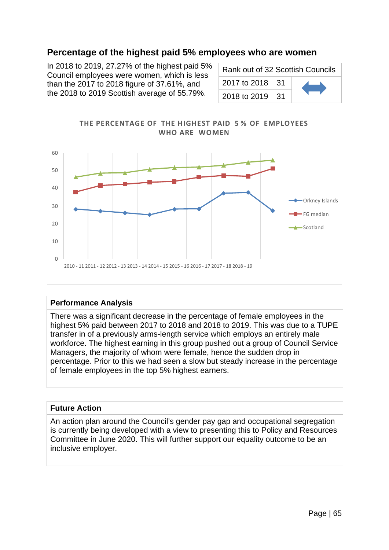### **Percentage of the highest paid 5% employees who are women**

In 2018 to 2019, 27.27% of the highest paid 5% Council employees were women, which is less than the 2017 to 2018 figure of 37.61%, and the 2018 to 2019 Scottish average of 55.79%.

| Rank out of 32 Scottish Councils |  |  |
|----------------------------------|--|--|
| 2017 to 2018   31                |  |  |
| 2018 to 2019   31                |  |  |



#### **Performance Analysis**

There was a significant decrease in the percentage of female employees in the highest 5% paid between 2017 to 2018 and 2018 to 2019. This was due to a TUPE transfer in of a previously arms-length service which employs an entirely male workforce. The highest earning in this group pushed out a group of Council Service Managers, the majority of whom were female, hence the sudden drop in percentage. Prior to this we had seen a slow but steady increase in the percentage of female employees in the top 5% highest earners.

#### **Future Action**

An action plan around the Council's gender pay gap and occupational segregation is currently being developed with a view to presenting this to Policy and Resources Committee in June 2020. This will further support our equality outcome to be an inclusive employer.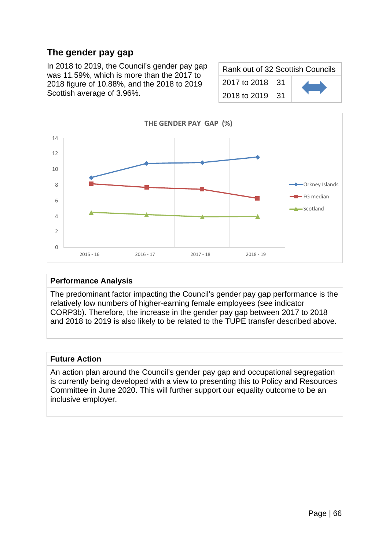# **The gender pay gap**

In 2018 to 2019, the Council's gender pay gap was 11.59%, which is more than the 2017 to 2018 figure of 10.88%, and the 2018 to 2019 Scottish average of 3.96%.

| Rank out of 32 Scottish Councils |  |  |
|----------------------------------|--|--|
| 2017 to 2018   31                |  |  |
| 2018 to 2019   31                |  |  |



#### **Performance Analysis**

The predominant factor impacting the Council's gender pay gap performance is the relatively low numbers of higher-earning female employees (see indicator CORP3b). Therefore, the increase in the gender pay gap between 2017 to 2018 and 2018 to 2019 is also likely to be related to the TUPE transfer described above.

#### **Future Action**

An action plan around the Council's gender pay gap and occupational segregation is currently being developed with a view to presenting this to Policy and Resources Committee in June 2020. This will further support our equality outcome to be an inclusive employer.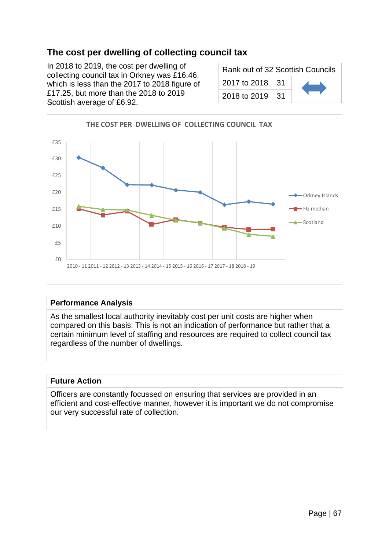# **The cost per dwelling of collecting council tax**

In 2018 to 2019, the cost per dwelling of collecting council tax in Orkney was £16.46, which is less than the 2017 to 2018 figure of £17.25, but more than the 2018 to 2019 Scottish average of £6.92.

| Rank out of 32 Scottish Councils |     |  |
|----------------------------------|-----|--|
| 2017 to 2018                     | -31 |  |
| 2018 to 2019                     | -31 |  |



#### **Performance Analysis**

As the smallest local authority inevitably cost per unit costs are higher when compared on this basis. This is not an indication of performance but rather that a certain minimum level of staffing and resources are required to collect council tax regardless of the number of dwellings.

#### **Future Action**

Officers are constantly focussed on ensuring that services are provided in an efficient and cost-effective manner, however it is important we do not compromise our very successful rate of collection.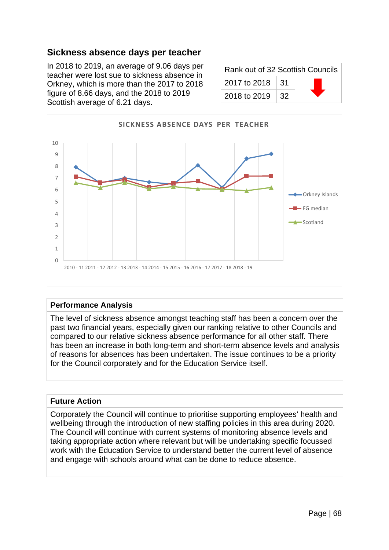### **Sickness absence days per teacher**

In 2018 to 2019, an average of 9.06 days per teacher were lost sue to sickness absence in Orkney, which is more than the 2017 to 2018 figure of 8.66 days, and the 2018 to 2019 Scottish average of 6.21 days.

| Rank out of 32 Scottish Councils |     |  |
|----------------------------------|-----|--|
| 2017 to 2018 $\parallel$         | .31 |  |
| 2018 to 2019                     | 32  |  |



#### **Performance Analysis**

The level of sickness absence amongst teaching staff has been a concern over the past two financial years, especially given our ranking relative to other Councils and compared to our relative sickness absence performance for all other staff. There has been an increase in both long-term and short-term absence levels and analysis of reasons for absences has been undertaken. The issue continues to be a priority for the Council corporately and for the Education Service itself.

#### **Future Action**

Corporately the Council will continue to prioritise supporting employees' health and wellbeing through the introduction of new staffing policies in this area during 2020. The Council will continue with current systems of monitoring absence levels and taking appropriate action where relevant but will be undertaking specific focussed work with the Education Service to understand better the current level of absence and engage with schools around what can be done to reduce absence.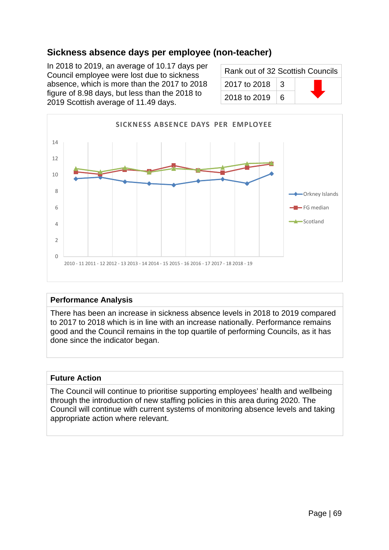# **Sickness absence days per employee (non-teacher)**

In 2018 to 2019, an average of 10.17 days per Council employee were lost due to sickness absence, which is more than the 2017 to 2018 figure of 8.98 days, but less than the 2018 to 2019 Scottish average of 11.49 days.

| Rank out of 32 Scottish Councils |   |  |
|----------------------------------|---|--|
| 2017 to 2018                     | З |  |
| 2018 to 2019                     | 6 |  |



#### **Performance Analysis**

There has been an increase in sickness absence levels in 2018 to 2019 compared to 2017 to 2018 which is in line with an increase nationally. Performance remains good and the Council remains in the top quartile of performing Councils, as it has done since the indicator began.

#### **Future Action**

The Council will continue to prioritise supporting employees' health and wellbeing through the introduction of new staffing policies in this area during 2020. The Council will continue with current systems of monitoring absence levels and taking appropriate action where relevant.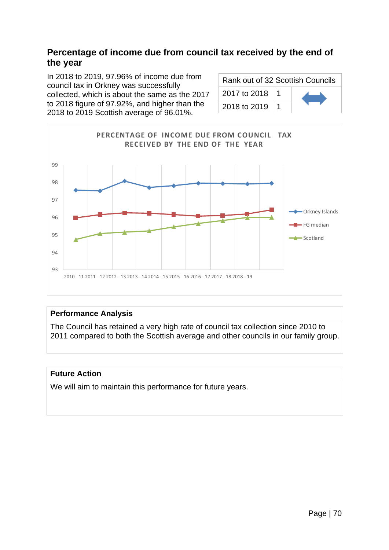### **Percentage of income due from council tax received by the end of the year**

In 2018 to 2019, 97.96% of income due from council tax in Orkney was successfully collected, which is about the same as the 2017 to 2018 figure of 97.92%, and higher than the 2018 to 2019 Scottish average of 96.01%.

| Rank out of 32 Scottish Councils |           |  |
|----------------------------------|-----------|--|
| 2017 to 2018                     | $\vert$ 1 |  |
| 2018 to 2019                     |           |  |



### **Performance Analysis**

The Council has retained a very high rate of council tax collection since 2010 to 2011 compared to both the Scottish average and other councils in our family group.

### **Future Action**

We will aim to maintain this performance for future years.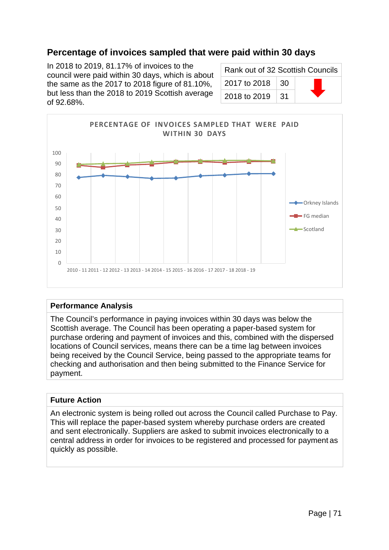## **Percentage of invoices sampled that were paid within 30 days**

In 2018 to 2019, 81.17% of invoices to the council were paid within 30 days, which is about the same as the 2017 to 2018 figure of 81.10%, but less than the 2018 to 2019 Scottish average of 92.68%.

| Rank out of 32 Scottish Councils |      |  |
|----------------------------------|------|--|
| 2017 to 2018   30                |      |  |
| 2018 to 2019                     | − 31 |  |



#### **Performance Analysis**

The Council's performance in paying invoices within 30 days was below the Scottish average. The Council has been operating a paper-based system for purchase ordering and payment of invoices and this, combined with the dispersed locations of Council services, means there can be a time lag between invoices being received by the Council Service, being passed to the appropriate teams for checking and authorisation and then being submitted to the Finance Service for payment.

#### **Future Action**

An electronic system is being rolled out across the Council called Purchase to Pay. This will replace the paper-based system whereby purchase orders are created and sent electronically. Suppliers are asked to submit invoices electronically to a central address in order for invoices to be registered and processed for payment as quickly as possible.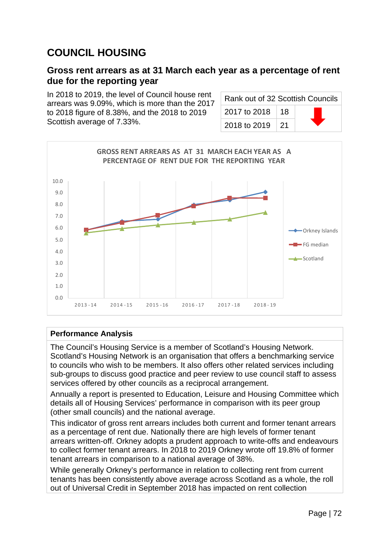# **COUNCIL HOUSING**

### **Gross rent arrears as at 31 March each year as a percentage of rent due for the reporting year**

In 2018 to 2019, the level of Council house rent arrears was 9.09%, which is more than the 2017 to 2018 figure of 8.38%, and the 2018 to 2019 Scottish average of 7.33%.

| Rank out of 32 Scottish Councils |                 |  |
|----------------------------------|-----------------|--|
| 2017 to 2018                     | $\overline{18}$ |  |
| 2018 to 2019                     | $\sqrt{21}$     |  |



#### **Performance Analysis**

The Council's Housing Service is a member of Scotland's Housing Network. Scotland's Housing Network is an organisation that offers a benchmarking service to councils who wish to be members. It also offers other related services including sub-groups to discuss good practice and peer review to use council staff to assess services offered by other councils as a reciprocal arrangement.

Annually a report is presented to Education, Leisure and Housing Committee which details all of Housing Services' performance in comparison with its peer group (other small councils) and the national average.

This indicator of gross rent arrears includes both current and former tenant arrears as a percentage of rent due. Nationally there are high levels of former tenant arrears written-off. Orkney adopts a prudent approach to write-offs and endeavours to collect former tenant arrears. In 2018 to 2019 Orkney wrote off 19.8% of former tenant arrears in comparison to a national average of 38%.

While generally Orkney's performance in relation to collecting rent from current tenants has been consistently above average across Scotland as a whole, the roll out of Universal Credit in September 2018 has impacted on rent collection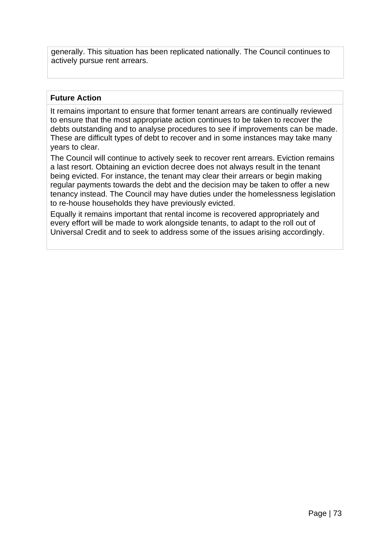generally. This situation has been replicated nationally. The Council continues to actively pursue rent arrears.

#### **Future Action**

It remains important to ensure that former tenant arrears are continually reviewed to ensure that the most appropriate action continues to be taken to recover the debts outstanding and to analyse procedures to see if improvements can be made. These are difficult types of debt to recover and in some instances may take many years to clear.

The Council will continue to actively seek to recover rent arrears. Eviction remains a last resort. Obtaining an eviction decree does not always result in the tenant being evicted. For instance, the tenant may clear their arrears or begin making regular payments towards the debt and the decision may be taken to offer a new tenancy instead. The Council may have duties under the homelessness legislation to re-house households they have previously evicted.

Equally it remains important that rental income is recovered appropriately and every effort will be made to work alongside tenants, to adapt to the roll out of Universal Credit and to seek to address some of the issues arising accordingly.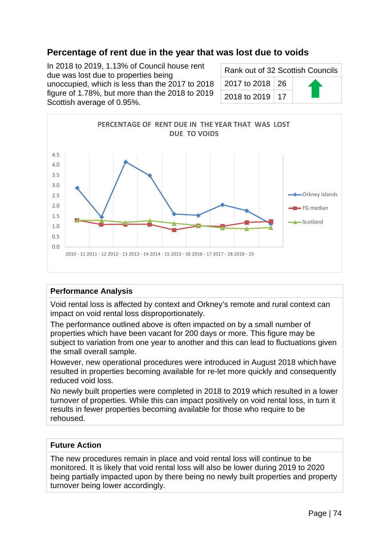## **Percentage of rent due in the year that was lost due to voids**

In 2018 to 2019, 1.13% of Council house rent due was lost due to properties being unoccupied, which is less than the 2017 to 2018 figure of 1.78%, but more than the 2018 to 2019 Scottish average of 0.95%.

| Rank out of 32 Scottish Councils |  |  |
|----------------------------------|--|--|
| 2017 to 2018   26                |  |  |
| 2018 to 2019   17                |  |  |



#### **Performance Analysis**

Void rental loss is affected by context and Orkney's remote and rural context can impact on void rental loss disproportionately.

The performance outlined above is often impacted on by a small number of properties which have been vacant for 200 days or more. This figure may be subject to variation from one year to another and this can lead to fluctuations given the small overall sample.

However, new operational procedures were introduced in August 2018 which have resulted in properties becoming available for re-let more quickly and consequently reduced void loss.

No newly built properties were completed in 2018 to 2019 which resulted in a lower turnover of properties. While this can impact positively on void rental loss, in turn it results in fewer properties becoming available for those who require to be rehoused.

#### **Future Action**

The new procedures remain in place and void rental loss will continue to be monitored. It is likely that void rental loss will also be lower during 2019 to 2020 being partially impacted upon by there being no newly built properties and property turnover being lower accordingly.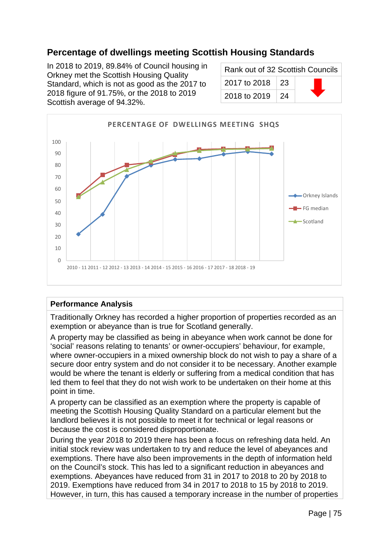## **Percentage of dwellings meeting Scottish Housing Standards**

In 2018 to 2019, 89.84% of Council housing in Orkney met the Scottish Housing Quality Standard, which is not as good as the 2017 to 2018 figure of 91.75%, or the 2018 to 2019 Scottish average of 94.32%.

| Rank out of 32 Scottish Councils |            |  |
|----------------------------------|------------|--|
| 2017 to 2018                     | $\perp$ 23 |  |
| 2018 to 2019                     | 24         |  |



#### **Performance Analysis**

Traditionally Orkney has recorded a higher proportion of properties recorded as an exemption or abeyance than is true for Scotland generally.

A property may be classified as being in abeyance when work cannot be done for 'social' reasons relating to tenants' or owner-occupiers' behaviour, for example, where owner-occupiers in a mixed ownership block do not wish to pay a share of a secure door entry system and do not consider it to be necessary. Another example would be where the tenant is elderly or suffering from a medical condition that has led them to feel that they do not wish work to be undertaken on their home at this point in time.

A property can be classified as an exemption where the property is capable of meeting the Scottish Housing Quality Standard on a particular element but the landlord believes it is not possible to meet it for technical or legal reasons or because the cost is considered disproportionate.

During the year 2018 to 2019 there has been a focus on refreshing data held. An initial stock review was undertaken to try and reduce the level of abeyances and exemptions. There have also been improvements in the depth of information held on the Council's stock. This has led to a significant reduction in abeyances and exemptions. Abeyances have reduced from 31 in 2017 to 2018 to 20 by 2018 to 2019. Exemptions have reduced from 34 in 2017 to 2018 to 15 by 2018 to 2019. However, in turn, this has caused a temporary increase in the number of properties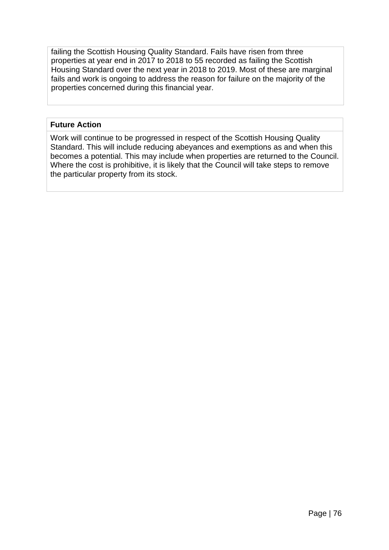failing the Scottish Housing Quality Standard. Fails have risen from three properties at year end in 2017 to 2018 to 55 recorded as failing the Scottish Housing Standard over the next year in 2018 to 2019. Most of these are marginal fails and work is ongoing to address the reason for failure on the majority of the properties concerned during this financial year.

#### **Future Action**

Work will continue to be progressed in respect of the Scottish Housing Quality Standard. This will include reducing abeyances and exemptions as and when this becomes a potential. This may include when properties are returned to the Council. Where the cost is prohibitive, it is likely that the Council will take steps to remove the particular property from its stock.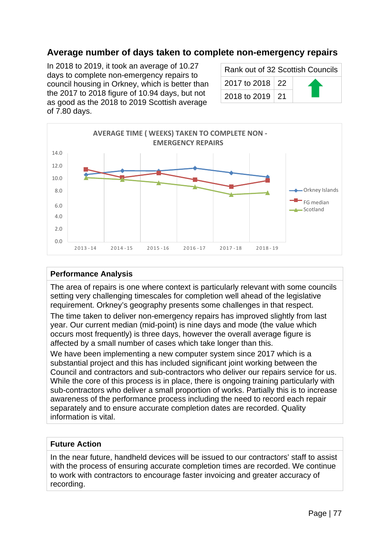## **Average number of days taken to complete non-emergency repairs**

In 2018 to 2019, it took an average of 10.27 days to complete non-emergency repairs to council housing in Orkney, which is better than the 2017 to 2018 figure of 10.94 days, but not as good as the 2018 to 2019 Scottish average of 7.80 days.

| Rank out of 32 Scottish Councils |  |  |
|----------------------------------|--|--|
| 2017 to 2018   22                |  |  |
| 2018 to 2019   21                |  |  |



#### **Performance Analysis**

The area of repairs is one where context is particularly relevant with some councils setting very challenging timescales for completion well ahead of the legislative requirement. Orkney's geography presents some challenges in that respect.

The time taken to deliver non-emergency repairs has improved slightly from last year. Our current median (mid-point) is nine days and mode (the value which occurs most frequently) is three days, however the overall average figure is affected by a small number of cases which take longer than this.

We have been implementing a new computer system since 2017 which is a substantial project and this has included significant joint working between the Council and contractors and sub-contractors who deliver our repairs service for us. While the core of this process is in place, there is ongoing training particularly with sub-contractors who deliver a small proportion of works. Partially this is to increase awareness of the performance process including the need to record each repair separately and to ensure accurate completion dates are recorded. Quality information is vital.

#### **Future Action**

In the near future, handheld devices will be issued to our contractors' staff to assist with the process of ensuring accurate completion times are recorded. We continue to work with contractors to encourage faster invoicing and greater accuracy of recording.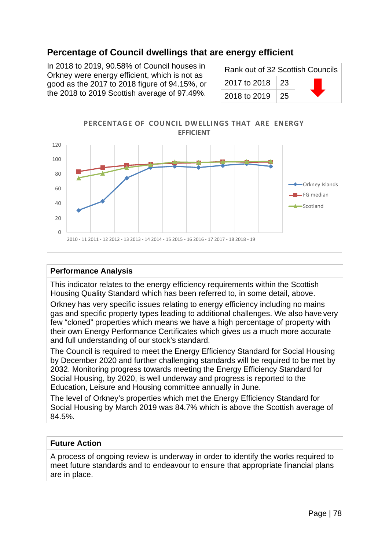## **Percentage of Council dwellings that are energy efficient**

In 2018 to 2019, 90.58% of Council houses in Orkney were energy efficient, which is not as good as the 2017 to 2018 figure of 94.15%, or the 2018 to 2019 Scottish average of 97.49%.

| Rank out of 32 Scottish Councils |            |  |
|----------------------------------|------------|--|
| 2017 to 2018                     | $\perp$ 23 |  |
| 2018 to 2019                     | -25        |  |



#### **Performance Analysis**

This indicator relates to the energy efficiency requirements within the Scottish Housing Quality Standard which has been referred to, in some detail, above.

Orkney has very specific issues relating to energy efficiency including no mains gas and specific property types leading to additional challenges. We also have very few "cloned" properties which means we have a high percentage of property with their own Energy Performance Certificates which gives us a much more accurate and full understanding of our stock's standard.

The Council is required to meet the Energy Efficiency Standard for Social Housing by December 2020 and further challenging standards will be required to be met by 2032. Monitoring progress towards meeting the Energy Efficiency Standard for Social Housing, by 2020, is well underway and progress is reported to the Education, Leisure and Housing committee annually in June.

The level of Orkney's properties which met the Energy Efficiency Standard for Social Housing by March 2019 was 84.7% which is above the Scottish average of 84.5%.

#### **Future Action**

A process of ongoing review is underway in order to identify the works required to meet future standards and to endeavour to ensure that appropriate financial plans are in place.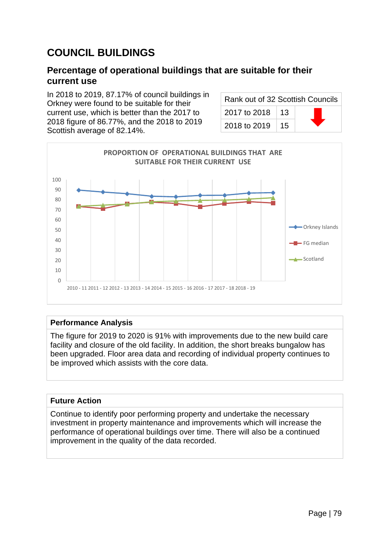# **COUNCIL BUILDINGS**

## **Percentage of operational buildings that are suitable for their current use**

In 2018 to 2019, 87.17% of council buildings in Orkney were found to be suitable for their current use, which is better than the 2017 to 2018 figure of 86.77%, and the 2018 to 2019 Scottish average of 82.14%.

| Rank out of 32 Scottish Councils |    |  |
|----------------------------------|----|--|
| 2017 to 2018                     | 13 |  |
| 2018 to 2019                     | 15 |  |



#### **Performance Analysis**

The figure for 2019 to 2020 is 91% with improvements due to the new build care facility and closure of the old facility. In addition, the short breaks bungalow has been upgraded. Floor area data and recording of individual property continues to be improved which assists with the core data.

#### **Future Action**

Continue to identify poor performing property and undertake the necessary investment in property maintenance and improvements which will increase the performance of operational buildings over time. There will also be a continued improvement in the quality of the data recorded.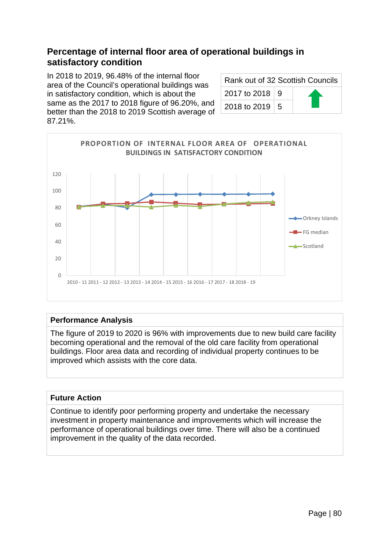## **Percentage of internal floor area of operational buildings in satisfactory condition**

In 2018 to 2019, 96.48% of the internal floor area of the Council's operational buildings was in satisfactory condition, which is about the same as the 2017 to 2018 figure of 96.20%, and better than the 2018 to 2019 Scottish average of 87.21%.

| Rank out of 32 Scottish Councils |  |  |
|----------------------------------|--|--|
| 2017 to 2018 9                   |  |  |
| 2018 to 2019   5                 |  |  |



#### **Performance Analysis**

The figure of 2019 to 2020 is 96% with improvements due to new build care facility becoming operational and the removal of the old care facility from operational buildings. Floor area data and recording of individual property continues to be improved which assists with the core data.

#### **Future Action**

Continue to identify poor performing property and undertake the necessary investment in property maintenance and improvements which will increase the performance of operational buildings over time. There will also be a continued improvement in the quality of the data recorded.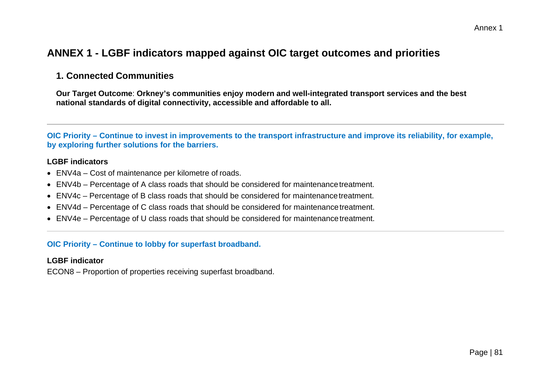## **ANNEX 1 - LGBF indicators mapped against OIC target outcomes and priorities**

### **1. Connected Communities**

**Our Target Outcome**: **Orkney's communities enjoy modern and well-integrated transport services and the best national standards of digital connectivity, accessible and affordable to all.**

**OIC Priority – Continue to invest in improvements to the transport infrastructure and improve its reliability, for example, by exploring further solutions for the barriers.**

#### **LGBF indicators**

- ENV4a Cost of maintenance per kilometre of roads.
- ENV4b Percentage of A class roads that should be considered for maintenance treatment.
- ENV4c Percentage of B class roads that should be considered for maintenance treatment.
- ENV4d Percentage of C class roads that should be considered for maintenance treatment.
- ENV4e Percentage of U class roads that should be considered for maintenance treatment.

#### **OIC Priority – Continue to lobby for superfast broadband.**

#### **LGBF indicator**

ECON8 – Proportion of properties receiving superfast broadband.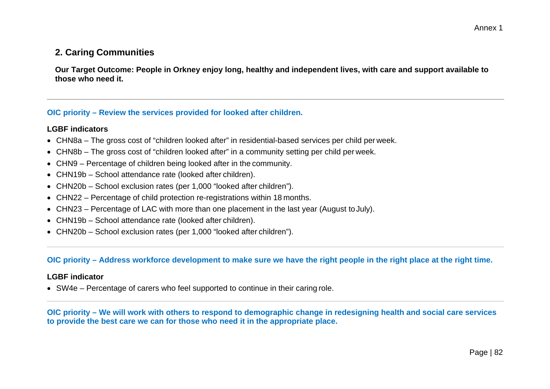## Annex 1

### **2. Caring Communities**

**Our Target Outcome: People in Orkney enjoy long, healthy and independent lives, with care and support available to those who need it.**

#### **OIC priority – Review the services provided for looked after children.**

#### **LGBF indicators**

- CHN8a The gross cost of "children looked after" in residential-based services per child per week.
- CHN8b The gross cost of "children looked after" in a community setting per child per week.
- CHN9 Percentage of children being looked after in the community.
- CHN19b School attendance rate (looked after children).
- CHN20b School exclusion rates (per 1,000 "looked after children").
- CHN22 Percentage of child protection re-registrations within 18 months.
- CHN23 Percentage of LAC with more than one placement in the last year (August to July).
- CHN19b School attendance rate (looked after children).
- CHN20b School exclusion rates (per 1,000 "looked after children").

#### **OIC priority – Address workforce development to make sure we have the right people in the right place at the right time.**

#### **LGBF indicator**

• SW4e – Percentage of carers who feel supported to continue in their caring role.

**OIC priority – We will work with others to respond to demographic change in redesigning health and social care services to provide the best care we can for those who need it in the appropriate place.**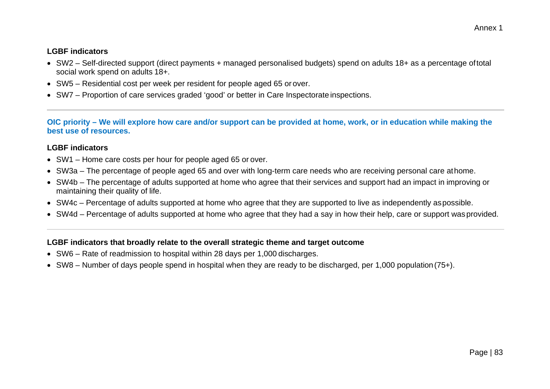#### **LGBF indicators**

- SW2 Self-directed support (direct payments + managed personalised budgets) spend on adults 18+ as a percentage oftotal social work spend on adults 18+.
- SW5 Residential cost per week per resident for people aged 65 or over.
- SW7 Proportion of care services graded 'good' or better in Care Inspectorate inspections.

**OIC priority – We will explore how care and/or support can be provided at home, work, or in education while making the best use of resources.**

#### **LGBF indicators**

- SW1 Home care costs per hour for people aged 65 or over.
- SW3a The percentage of people aged 65 and over with long-term care needs who are receiving personal care athome.
- SW4b The percentage of adults supported at home who agree that their services and support had an impact in improving or maintaining their quality of life.
- SW4c Percentage of adults supported at home who agree that they are supported to live as independently aspossible.
- SW4d Percentage of adults supported at home who agree that they had a say in how their help, care or support was provided.

- SW6 Rate of readmission to hospital within 28 days per 1,000 discharges.
- SW8 Number of days people spend in hospital when they are ready to be discharged, per 1,000 population (75+).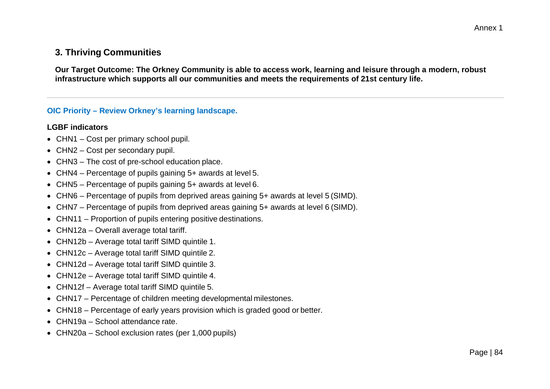## **3. Thriving Communities**

**Our Target Outcome: The Orkney Community is able to access work, learning and leisure through a modern, robust infrastructure which supports all our communities and meets the requirements of 21st century life.**

#### **OIC Priority – Review Orkney's learning landscape.**

#### **LGBF indicators**

- CHN1 Cost per primary school pupil.
- CHN2 Cost per secondary pupil.
- CHN3 The cost of pre-school education place.
- CHN4 Percentage of pupils gaining 5+ awards at level 5.
- CHN5 Percentage of pupils gaining 5+ awards at level 6.
- CHN6 Percentage of pupils from deprived areas gaining 5+ awards at level 5 (SIMD).
- CHN7 Percentage of pupils from deprived areas gaining 5+ awards at level 6 (SIMD).
- CHN11 Proportion of pupils entering positive destinations.
- CHN12a Overall average total tariff.
- CHN12b Average total tariff SIMD quintile 1.
- CHN12c Average total tariff SIMD quintile 2.
- CHN12d Average total tariff SIMD quintile 3.
- CHN12e Average total tariff SIMD quintile 4.
- CHN12f Average total tariff SIMD quintile 5.
- CHN17 Percentage of children meeting developmental milestones.
- CHN18 Percentage of early years provision which is graded good or better.
- CHN19a School attendance rate.
- CHN20a School exclusion rates (per 1,000 pupils)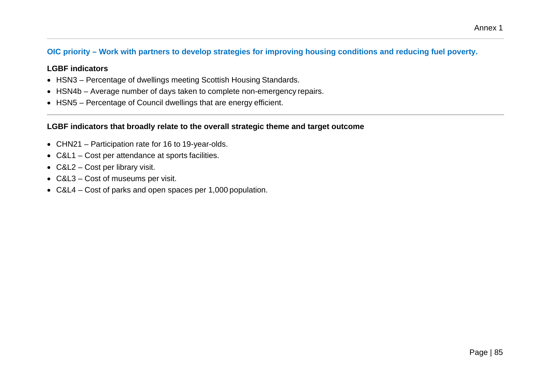#### **OIC priority – Work with partners to develop strategies for improving housing conditions and reducing fuel poverty.**

#### **LGBF indicators**

- HSN3 Percentage of dwellings meeting Scottish Housing Standards.
- HSN4b Average number of days taken to complete non-emergency repairs.
- HSN5 Percentage of Council dwellings that are energy efficient.

- CHN21 Participation rate for 16 to 19-year-olds.
- C&L1 Cost per attendance at sports facilities.
- C&L2 Cost per library visit.
- C&L3 Cost of museums per visit.
- C&L4 Cost of parks and open spaces per 1,000 population.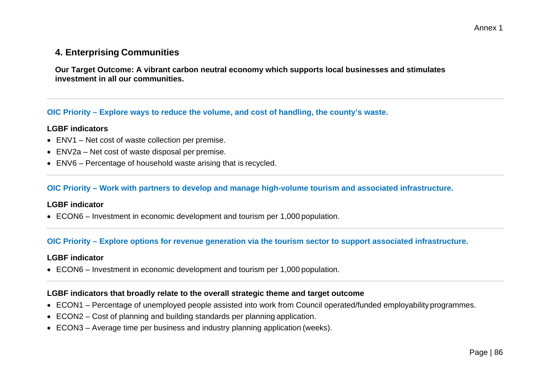## **4. Enterprising Communities**

**Our Target Outcome: A vibrant carbon neutral economy which supports local businesses and stimulates investment in all our communities.**

#### **OIC Priority – Explore ways to reduce the volume, and cost of handling, the county's waste.**

#### **LGBF indicators**

- ENV1 Net cost of waste collection per premise.
- ENV2a Net cost of waste disposal per premise.
- ENV6 Percentage of household waste arising that is recycled.

#### **OIC Priority – Work with partners to develop and manage high-volume tourism and associated infrastructure.**

#### **LGBF indicator**

• ECON6 – Investment in economic development and tourism per 1,000 population.

#### **OIC Priority – Explore options for revenue generation via the tourism sector to support associated infrastructure.**

#### **LGBF indicator**

• ECON6 – Investment in economic development and tourism per 1,000 population.

- ECON1 Percentage of unemployed people assisted into work from Council operated/funded employability programmes.
- ECON2 Cost of planning and building standards per planning application.
- ECON3 Average time per business and industry planning application (weeks).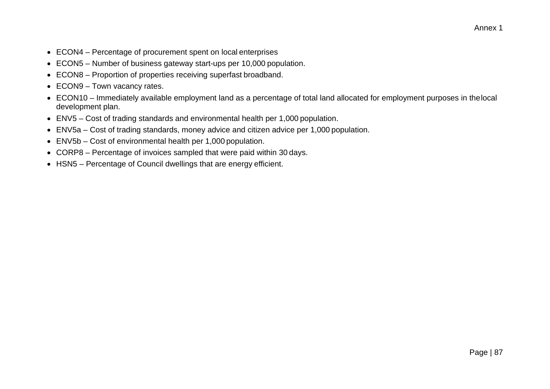- ECON4 Percentage of procurement spent on local enterprises
- ECON5 Number of business gateway start-ups per 10,000 population.
- ECON8 Proportion of properties receiving superfast broadband.
- ECON9 Town vacancy rates.
- ECON10 Immediately available employment land as a percentage of total land allocated for employment purposes in thelocal development plan.
- ENV5 Cost of trading standards and environmental health per 1,000 population.
- ENV5a Cost of trading standards, money advice and citizen advice per 1,000 population.
- ENV5b Cost of environmental health per 1,000 population.
- CORP8 Percentage of invoices sampled that were paid within 30 days.
- HSN5 Percentage of Council dwellings that are energy efficient.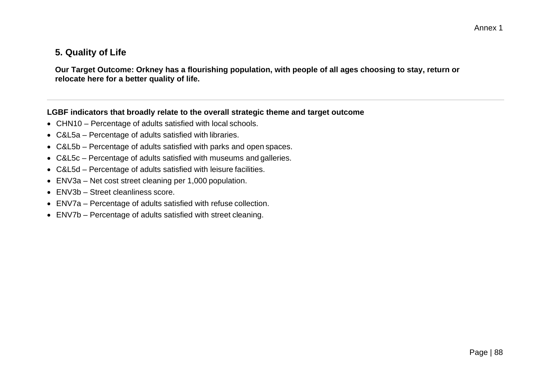## **5. Quality of Life**

**Our Target Outcome: Orkney has a flourishing population, with people of all ages choosing to stay, return or relocate here for a better quality of life.**

- CHN10 Percentage of adults satisfied with local schools.
- C&L5a Percentage of adults satisfied with libraries.
- C&L5b Percentage of adults satisfied with parks and open spaces.
- C&L5c Percentage of adults satisfied with museums and galleries.
- C&L5d Percentage of adults satisfied with leisure facilities.
- ENV3a Net cost street cleaning per 1,000 population.
- ENV3b Street cleanliness score.
- ENV7a Percentage of adults satisfied with refuse collection.
- ENV7b Percentage of adults satisfied with street cleaning.